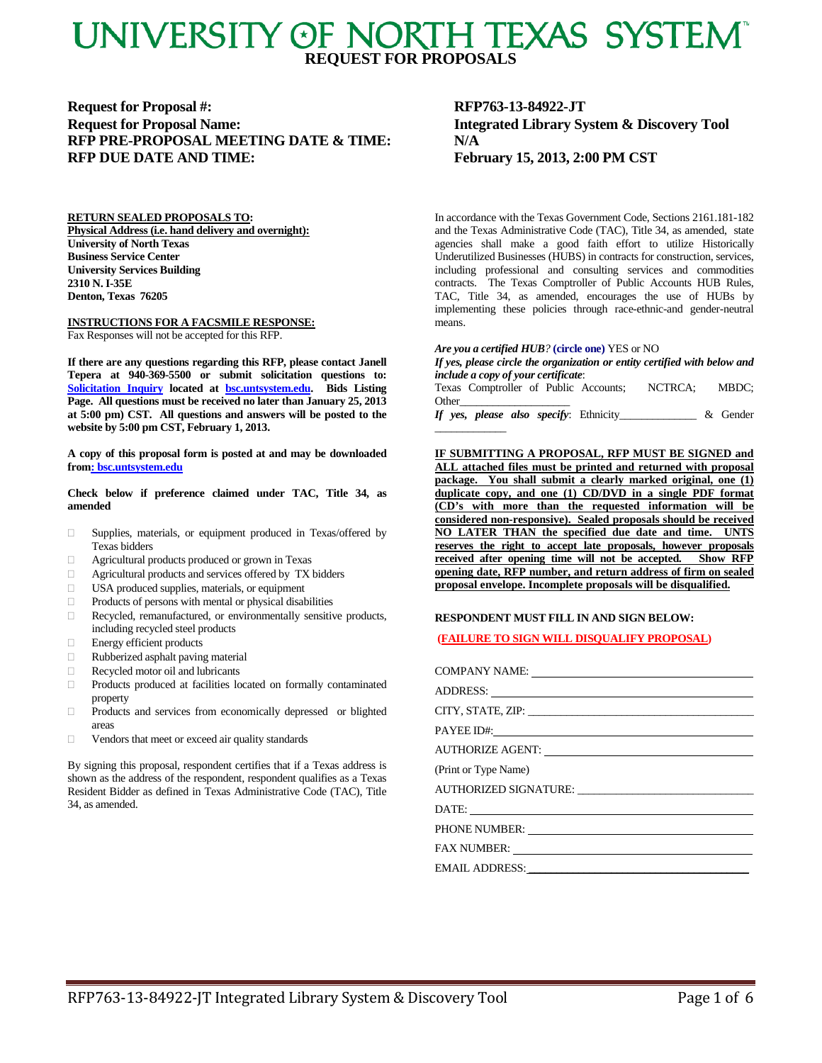## UNIVERSITY OF NORTH TEXAS SYSTEM" **REQUEST FOR PROPOSALS**

#### **Request for Proposal #: RFP763-13-84922-JT Request for Proposal Name: Integrated Library System & Discovery Tool RFP PRE-PROPOSAL MEETING DATE & TIME: N/A RFP DUE DATE AND TIME: February 15, 2013, 2:00 PM CST**

#### **RETURN SEALED PROPOSALS TO:**

**Physical Address (i.e. hand delivery and overnight): University of North Texas Business Service Center University Services Building 2310 N. I-35E Denton, Texas 76205**

#### **INSTRUCTIONS FOR A FACSMILE RESPONSE:**

Fax Responses will not be accepted for this RFP.

**If there are any questions regarding this RFP, please contact Janell Tepera at 940-369-5500 or submit solicitation questions to: [Solicitation Inquiry](http://bsc.untsystem.edu/content/bid-inquiry) located at [bsc.untsystem.edu.](http://bsc.untsystem.edu/) Bids Listing Page. All questions must be received no later than January 25, 2013 at 5:00 pm) CST. All questions and answers will be posted to the website by 5:00 pm CST, February 1, 2013.** 

**A copy of this proposal form is posted at and may be downloaded fro[m: bsc.untsystem.edu](http://bsc.untsystem.edu/)**

**Check below if preference claimed under TAC, Title 34, as amended**

- □ Supplies, materials, or equipment produced in Texas/offered by Texas bidders
- Agricultural products produced or grown in Texas
- $\Box$  Agricultural products and services offered by TX bidders
- □ USA produced supplies, materials, or equipment
- $\Box$  Products of persons with mental or physical disabilities
- Recycled, remanufactured, or environmentally sensitive products, including recycled steel products
- $\Box$  Energy efficient products<br> $\Box$  Rubberized asphalt paving
- Rubberized asphalt paving material
- Recycled motor oil and lubricants
- Products produced at facilities located on formally contaminated property
- Products and services from economically depressed or blighted areas
- □ Vendors that meet or exceed air quality standards

By signing this proposal, respondent certifies that if a Texas address is shown as the address of the respondent, respondent qualifies as a Texas Resident Bidder as defined in Texas Administrative Code (TAC), Title 34, as amended.

In accordance with the Texas Government Code, Sections 2161.181-182 and the Texas Administrative Code (TAC), Title 34, as amended, state agencies shall make a good faith effort to utilize Historically Underutilized Businesses (HUBS) in contracts for construction, services, including professional and consulting services and commodities contracts. The Texas Comptroller of Public Accounts HUB Rules, TAC, Title 34, as amended, encourages the use of HUBs by implementing these policies through race-ethnic-and gender-neutral means.

#### *Are you a certified HUB?* **(circle one)** YES or NO

*If yes, please circle the organization or entity certified with below and include a copy of your certificate*: Texas Comptroller of Public Accounts; NCTRCA; MBDC; Other\_ *If yes, please also specify*: Ethnicity\_\_\_\_\_\_\_\_\_\_\_\_\_\_ & Gender  $\overline{\phantom{a}}$ 

**IF SUBMITTING A PROPOSAL, RFP MUST BE SIGNED and ALL attached files must be printed and returned with proposal package. You shall submit a clearly marked original, one (1) duplicate copy, and one (1) CD/DVD in a single PDF format (CD's with more than the requested information will be considered non-responsive). Sealed proposals should be received NO LATER THAN the specified due date and time. UNTS reserves the right to accept late proposals, however proposals received after opening time will not be accepted. Show RFP opening date, RFP number, and return address of firm on sealed proposal envelope. Incomplete proposals will be disqualified.**

#### **RESPONDENT MUST FILL IN AND SIGN BELOW:**

#### **(FAILURE TO SIGN WILL DISQUALIFY PROPOSAL)**

COMPANY NAME:

| (Print or Type Name)                                                                                                                                                                                                           |
|--------------------------------------------------------------------------------------------------------------------------------------------------------------------------------------------------------------------------------|
| AUTHORIZED SIGNATURE: NAMEL AUTHORIZED SIGNATURE:                                                                                                                                                                              |
| DATE:                                                                                                                                                                                                                          |
|                                                                                                                                                                                                                                |
| FAX NUMBER: New York State State State State State State State State State State State State State State State State State State State State State State State State State State State State State State State State State Sta |
| EMAIL ADDRESS:                                                                                                                                                                                                                 |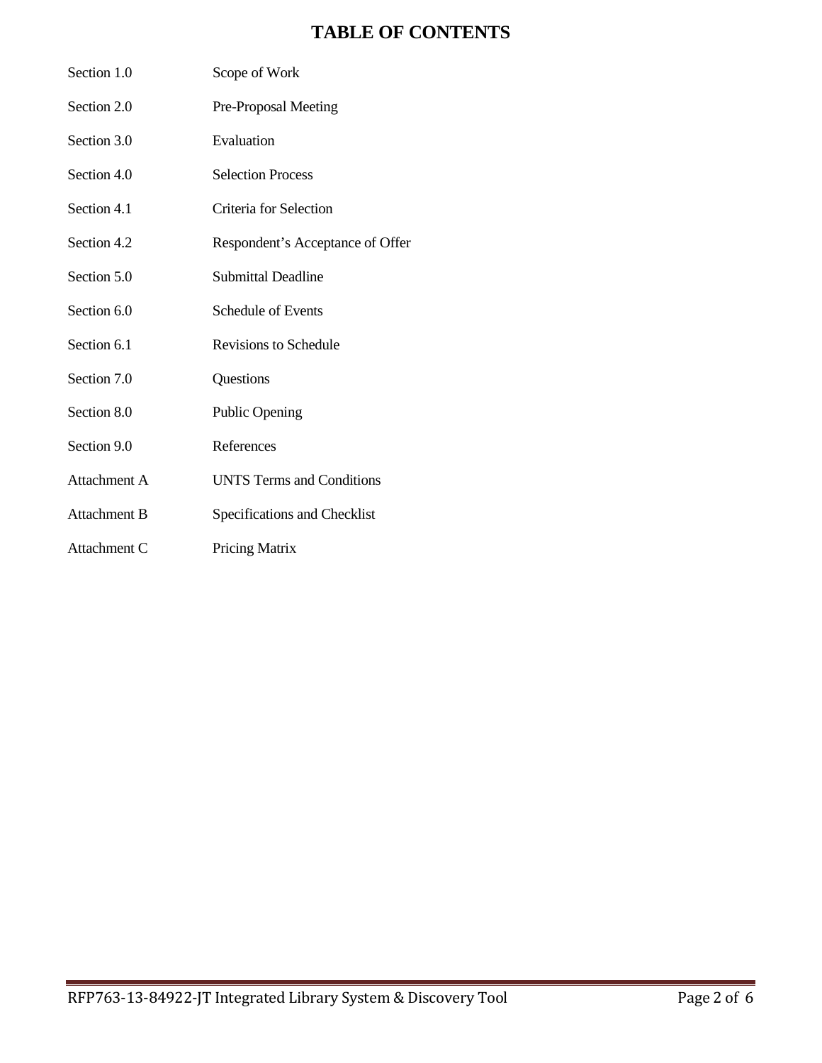## **TABLE OF CONTENTS**

| Section 1.0         | Scope of Work                    |
|---------------------|----------------------------------|
| Section 2.0         | Pre-Proposal Meeting             |
| Section 3.0         | Evaluation                       |
| Section 4.0         | <b>Selection Process</b>         |
| Section 4.1         | Criteria for Selection           |
| Section 4.2         | Respondent's Acceptance of Offer |
| Section 5.0         | <b>Submittal Deadline</b>        |
| Section 6.0         | <b>Schedule of Events</b>        |
| Section 6.1         | <b>Revisions to Schedule</b>     |
| Section 7.0         | Questions                        |
| Section 8.0         | <b>Public Opening</b>            |
| Section 9.0         | References                       |
| <b>Attachment A</b> | <b>UNTS Terms and Conditions</b> |
| <b>Attachment B</b> | Specifications and Checklist     |
| Attachment C        | <b>Pricing Matrix</b>            |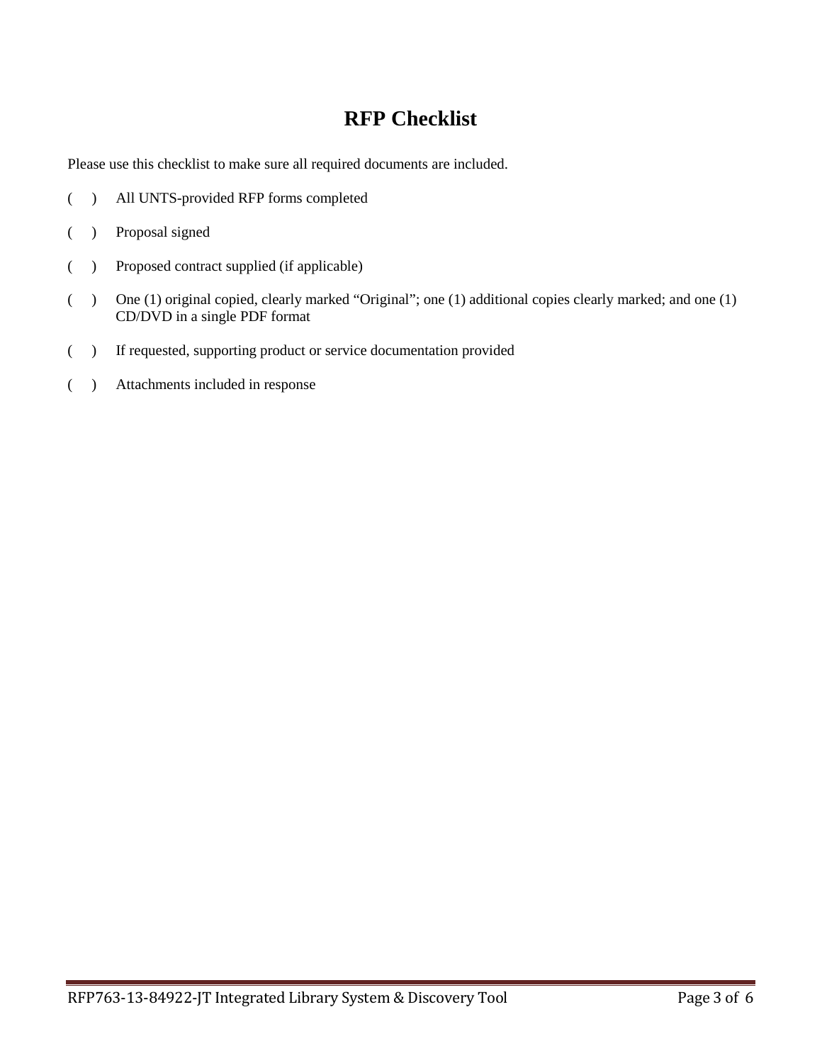## **RFP Checklist**

Please use this checklist to make sure all required documents are included.

- ( ) All UNTS-provided RFP forms completed
- ( ) Proposal signed
- ( ) Proposed contract supplied (if applicable)
- ( ) One (1) original copied, clearly marked "Original"; one (1) additional copies clearly marked; and one (1) CD/DVD in a single PDF format
- ( ) If requested, supporting product or service documentation provided
- ( ) Attachments included in response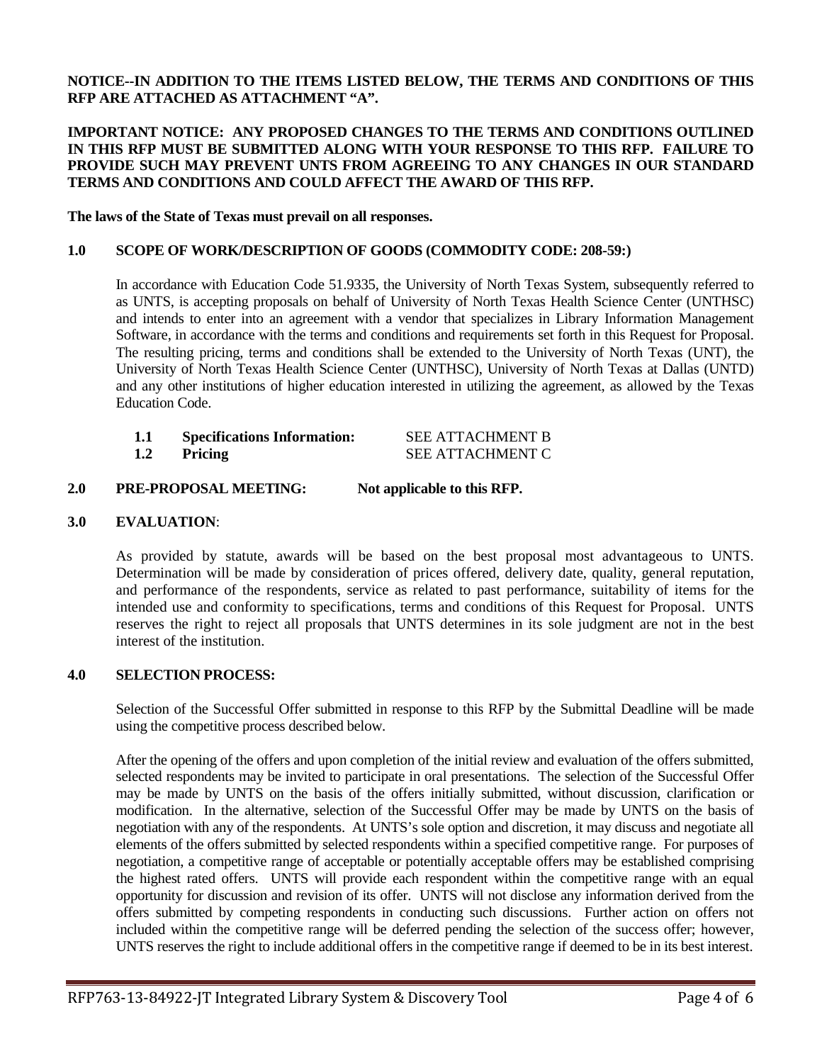#### **NOTICE--IN ADDITION TO THE ITEMS LISTED BELOW, THE TERMS AND CONDITIONS OF THIS RFP ARE ATTACHED AS ATTACHMENT "A".**

#### **IMPORTANT NOTICE: ANY PROPOSED CHANGES TO THE TERMS AND CONDITIONS OUTLINED IN THIS RFP MUST BE SUBMITTED ALONG WITH YOUR RESPONSE TO THIS RFP. FAILURE TO PROVIDE SUCH MAY PREVENT UNTS FROM AGREEING TO ANY CHANGES IN OUR STANDARD TERMS AND CONDITIONS AND COULD AFFECT THE AWARD OF THIS RFP.**

**The laws of the State of Texas must prevail on all responses.**

#### **1.0 SCOPE OF WORK/DESCRIPTION OF GOODS (COMMODITY CODE: 208-59:)**

In accordance with Education Code 51.9335, the University of North Texas System, subsequently referred to as UNTS, is accepting proposals on behalf of University of North Texas Health Science Center (UNTHSC) and intends to enter into an agreement with a vendor that specializes in Library Information Management Software, in accordance with the terms and conditions and requirements set forth in this Request for Proposal. The resulting pricing, terms and conditions shall be extended to the University of North Texas (UNT), the University of North Texas Health Science Center (UNTHSC), University of North Texas at Dallas (UNTD) and any other institutions of higher education interested in utilizing the agreement, as allowed by the Texas Education Code.

| 1.1 | <b>Specifications Information:</b> | <b>SEE ATTACHMENT B</b> |
|-----|------------------------------------|-------------------------|
| 1.2 | <b>Pricing</b>                     | SEE ATTACHMENT C        |

#### **2.0 PRE-PROPOSAL MEETING: Not applicable to this RFP.**

#### **3.0 EVALUATION**:

As provided by statute, awards will be based on the best proposal most advantageous to UNTS. Determination will be made by consideration of prices offered, delivery date, quality, general reputation, and performance of the respondents, service as related to past performance, suitability of items for the intended use and conformity to specifications, terms and conditions of this Request for Proposal. UNTS reserves the right to reject all proposals that UNTS determines in its sole judgment are not in the best interest of the institution.

#### **4.0 SELECTION PROCESS:**

Selection of the Successful Offer submitted in response to this RFP by the Submittal Deadline will be made using the competitive process described below.

After the opening of the offers and upon completion of the initial review and evaluation of the offers submitted, selected respondents may be invited to participate in oral presentations. The selection of the Successful Offer may be made by UNTS on the basis of the offers initially submitted, without discussion, clarification or modification. In the alternative, selection of the Successful Offer may be made by UNTS on the basis of negotiation with any of the respondents. At UNTS's sole option and discretion, it may discuss and negotiate all elements of the offers submitted by selected respondents within a specified competitive range. For purposes of negotiation, a competitive range of acceptable or potentially acceptable offers may be established comprising the highest rated offers. UNTS will provide each respondent within the competitive range with an equal opportunity for discussion and revision of its offer. UNTS will not disclose any information derived from the offers submitted by competing respondents in conducting such discussions. Further action on offers not included within the competitive range will be deferred pending the selection of the success offer; however, UNTS reserves the right to include additional offers in the competitive range if deemed to be in its best interest.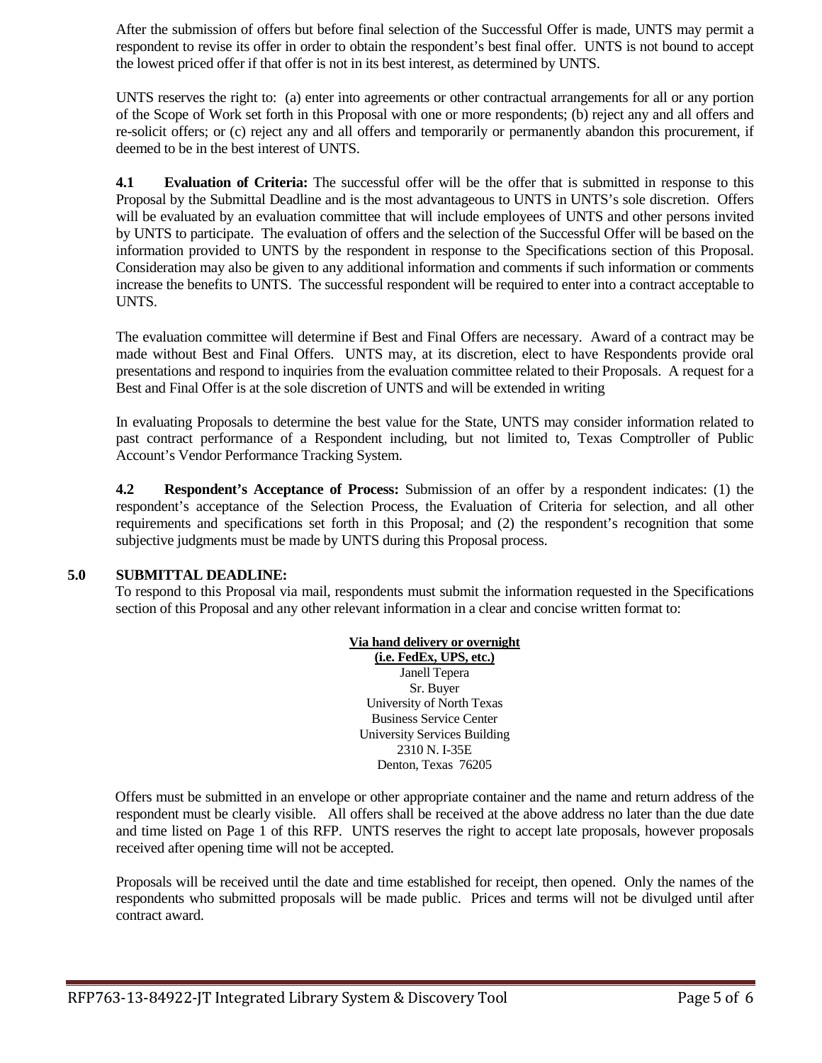After the submission of offers but before final selection of the Successful Offer is made, UNTS may permit a respondent to revise its offer in order to obtain the respondent's best final offer. UNTS is not bound to accept the lowest priced offer if that offer is not in its best interest, as determined by UNTS.

UNTS reserves the right to: (a) enter into agreements or other contractual arrangements for all or any portion of the Scope of Work set forth in this Proposal with one or more respondents; (b) reject any and all offers and re-solicit offers; or (c) reject any and all offers and temporarily or permanently abandon this procurement, if deemed to be in the best interest of UNTS.

**4.1 Evaluation of Criteria:** The successful offer will be the offer that is submitted in response to this Proposal by the Submittal Deadline and is the most advantageous to UNTS in UNTS's sole discretion. Offers will be evaluated by an evaluation committee that will include employees of UNTS and other persons invited by UNTS to participate. The evaluation of offers and the selection of the Successful Offer will be based on the information provided to UNTS by the respondent in response to the Specifications section of this Proposal. Consideration may also be given to any additional information and comments if such information or comments increase the benefits to UNTS. The successful respondent will be required to enter into a contract acceptable to UNTS.

The evaluation committee will determine if Best and Final Offers are necessary. Award of a contract may be made without Best and Final Offers. UNTS may, at its discretion, elect to have Respondents provide oral presentations and respond to inquiries from the evaluation committee related to their Proposals. A request for a Best and Final Offer is at the sole discretion of UNTS and will be extended in writing

In evaluating Proposals to determine the best value for the State, UNTS may consider information related to past contract performance of a Respondent including, but not limited to, Texas Comptroller of Public Account's Vendor Performance Tracking System.

**4.2 Respondent's Acceptance of Process:** Submission of an offer by a respondent indicates: (1) the respondent's acceptance of the Selection Process, the Evaluation of Criteria for selection, and all other requirements and specifications set forth in this Proposal; and (2) the respondent's recognition that some subjective judgments must be made by UNTS during this Proposal process.

#### **5.0 SUBMITTAL DEADLINE:**

To respond to this Proposal via mail, respondents must submit the information requested in the Specifications section of this Proposal and any other relevant information in a clear and concise written format to:

> **Via hand delivery or overnight (i.e. FedEx, UPS, etc.)** Janell Tepera Sr. Buyer University of North Texas Business Service Center University Services Building 2310 N. I-35E Denton, Texas 76205

Offers must be submitted in an envelope or other appropriate container and the name and return address of the respondent must be clearly visible. All offers shall be received at the above address no later than the due date and time listed on Page 1 of this RFP. UNTS reserves the right to accept late proposals, however proposals received after opening time will not be accepted.

Proposals will be received until the date and time established for receipt, then opened. Only the names of the respondents who submitted proposals will be made public. Prices and terms will not be divulged until after contract award.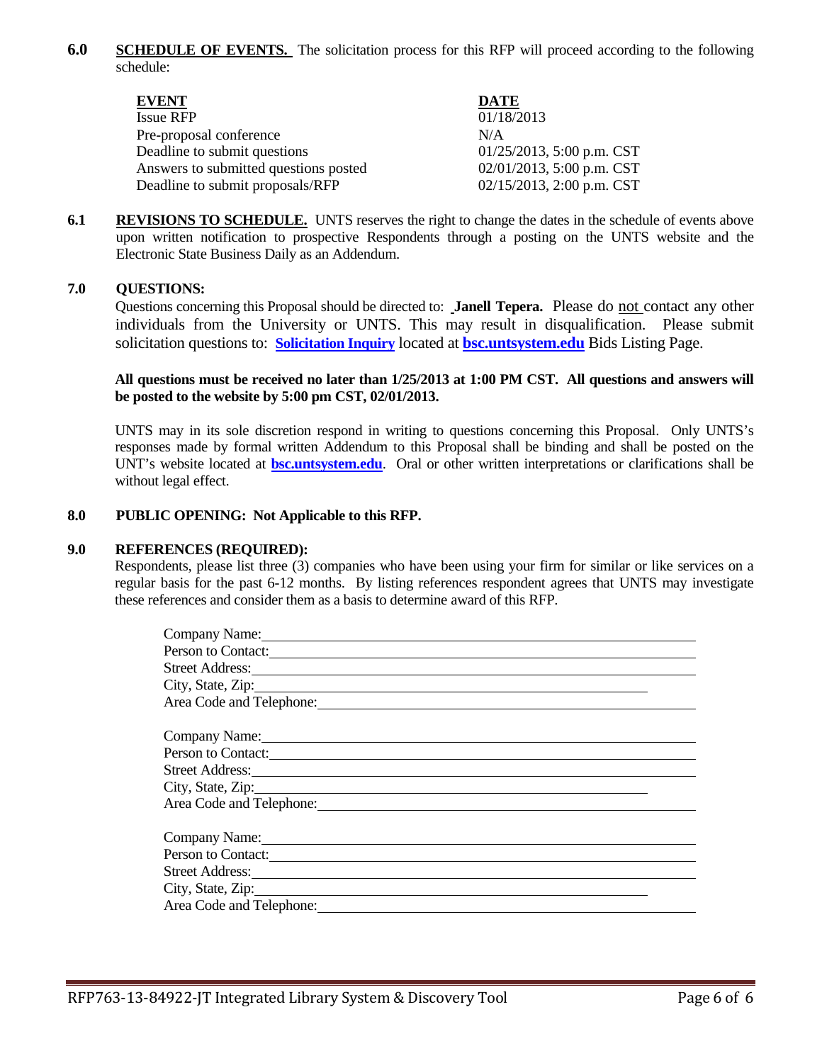**6.0 SCHEDULE OF EVENTS.** The solicitation process for this RFP will proceed according to the following schedule:

| <b>EVENT</b>                          | <b>DATE</b>                  |
|---------------------------------------|------------------------------|
| <b>Issue RFP</b>                      | 01/18/2013                   |
| Pre-proposal conference               | N/A                          |
| Deadline to submit questions          | $01/25/2013$ , 5:00 p.m. CST |
| Answers to submitted questions posted | $02/01/2013$ , 5:00 p.m. CST |
| Deadline to submit proposals/RFP      | 02/15/2013, 2:00 p.m. CST    |

**6.1** REVISIONS TO SCHEDULE. UNTS reserves the right to change the dates in the schedule of events above upon written notification to prospective Respondents through a posting on the UNTS website and the Electronic State Business Daily as an Addendum.

#### **7.0 QUESTIONS:**

Questions concerning this Proposal should be directed to: **Janell Tepera.** Please do not contact any other individuals from the University or UNTS. This may result in disqualification. Please submit solicitation questions to: **[Solicitation](http://bsc.untsystem.edu/content/bid-inquiry) Inquiry** located at **[bsc.untsystem.edu](http://bsc.untsystem.edu/)** Bids Listing Page.

#### **All questions must be received no later than 1/25/2013 at 1:00 PM CST. All questions and answers will be posted to the website by 5:00 pm CST, 02/01/2013.**

UNTS may in its sole discretion respond in writing to questions concerning this Proposal. Only UNTS's responses made by formal written Addendum to this Proposal shall be binding and shall be posted on the UNT's website located at **[bsc.untsystem.edu](http://bsc.untsystem.edu/)**. Oral or other written interpretations or clarifications shall be without legal effect.

#### **8.0 PUBLIC OPENING: Not Applicable to this RFP.**

#### **9.0 REFERENCES (REQUIRED):**

Respondents, please list three (3) companies who have been using your firm for similar or like services on a regular basis for the past 6-12 months. By listing references respondent agrees that UNTS may investigate these references and consider them as a basis to determine award of this RFP.

| Company Name: 2008                                                                                                                                                                                                                   |  |
|--------------------------------------------------------------------------------------------------------------------------------------------------------------------------------------------------------------------------------------|--|
| Person to Contact:                                                                                                                                                                                                                   |  |
|                                                                                                                                                                                                                                      |  |
| City, State, Zip: 1988.                                                                                                                                                                                                              |  |
| Area Code and Telephone: Manual Code and Telephone:                                                                                                                                                                                  |  |
|                                                                                                                                                                                                                                      |  |
| Person to Contact:                                                                                                                                                                                                                   |  |
| Street Address: No. 1996. The Street Address:                                                                                                                                                                                        |  |
| City, State, Zip:                                                                                                                                                                                                                    |  |
| Area Code and Telephone: <u>contained a series of the series of the series of the series of the series of the series of the series of the series of the series of the series of the series of the series of the series of the se</u> |  |
| Company Name: 1988 Company Name:                                                                                                                                                                                                     |  |
| Person to Contact:                                                                                                                                                                                                                   |  |
|                                                                                                                                                                                                                                      |  |
| City, State, Zip:                                                                                                                                                                                                                    |  |
| Area Code and Telephone:                                                                                                                                                                                                             |  |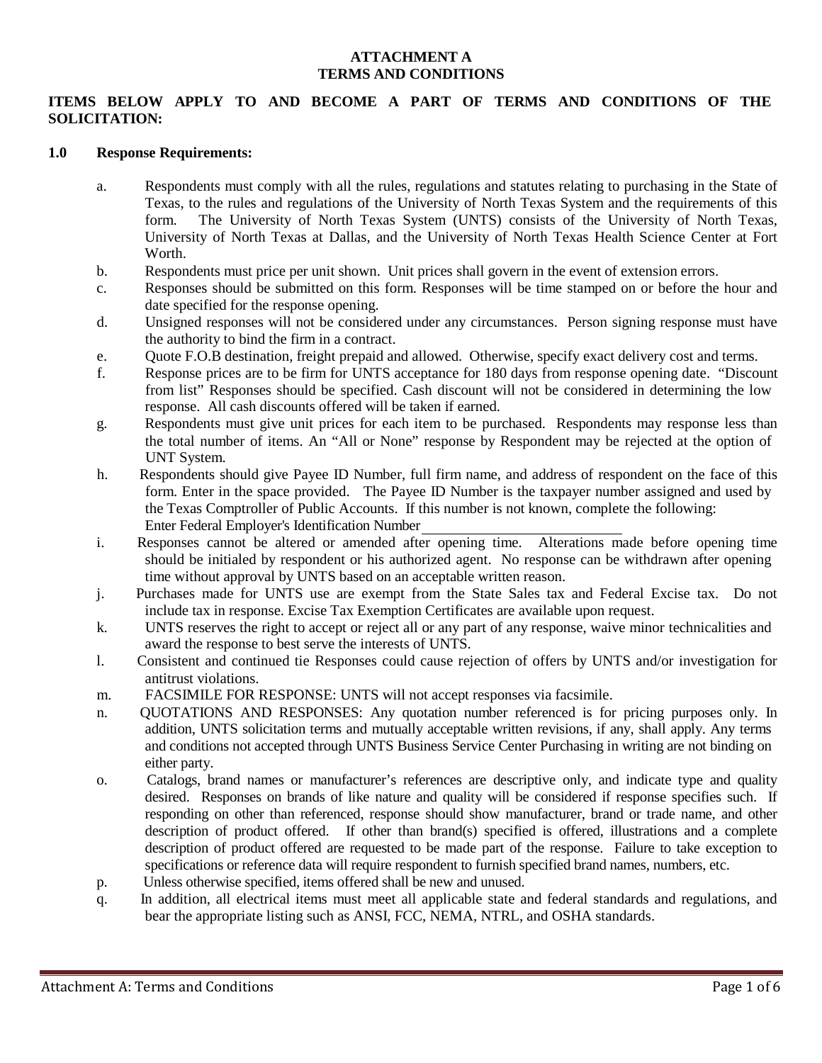#### **ITEMS BELOW APPLY TO AND BECOME A PART OF TERMS AND CONDITIONS OF THE SOLICITATION:**

#### **1.0 Response Requirements:**

- a. Respondents must comply with all the rules, regulations and statutes relating to purchasing in the State of Texas, to the rules and regulations of the University of North Texas System and the requirements of this form. The University of North Texas System (UNTS) consists of the University of North Texas, University of North Texas at Dallas, and the University of North Texas Health Science Center at Fort Worth.
- b. Respondents must price per unit shown. Unit prices shall govern in the event of extension errors.
- c. Responses should be submitted on this form. Responses will be time stamped on or before the hour and date specified for the response opening.
- d. Unsigned responses will not be considered under any circumstances. Person signing response must have the authority to bind the firm in a contract.
- e. Quote F.O.B destination, freight prepaid and allowed. Otherwise, specify exact delivery cost and terms.
- f. Response prices are to be firm for UNTS acceptance for 180 days from response opening date. "Discount from list" Responses should be specified. Cash discount will not be considered in determining the low response. All cash discounts offered will be taken if earned.
- g. Respondents must give unit prices for each item to be purchased. Respondents may response less than the total number of items. An "All or None" response by Respondent may be rejected at the option of UNT System.
- h. Respondents should give Payee ID Number, full firm name, and address of respondent on the face of this form. Enter in the space provided. The Payee ID Number is the taxpayer number assigned and used by the Texas Comptroller of Public Accounts. If this number is not known, complete the following: Enter Federal Employer's Identification Number
- i. Responses cannot be altered or amended after opening time. Alterations made before opening time should be initialed by respondent or his authorized agent. No response can be withdrawn after opening time without approval by UNTS based on an acceptable written reason.
- j. Purchases made for UNTS use are exempt from the State Sales tax and Federal Excise tax. Do not include tax in response. Excise Tax Exemption Certificates are available upon request.
- k. UNTS reserves the right to accept or reject all or any part of any response, waive minor technicalities and award the response to best serve the interests of UNTS.
- l. Consistent and continued tie Responses could cause rejection of offers by UNTS and/or investigation for antitrust violations.
- m. FACSIMILE FOR RESPONSE: UNTS will not accept responses via facsimile.
- n. QUOTATIONS AND RESPONSES: Any quotation number referenced is for pricing purposes only. In addition, UNTS solicitation terms and mutually acceptable written revisions, if any, shall apply. Any terms and conditions not accepted through UNTS Business Service Center Purchasing in writing are not binding on either party.
- o. Catalogs, brand names or manufacturer's references are descriptive only, and indicate type and quality desired. Responses on brands of like nature and quality will be considered if response specifies such. If responding on other than referenced, response should show manufacturer, brand or trade name, and other description of product offered. If other than brand(s) specified is offered, illustrations and a complete description of product offered are requested to be made part of the response. Failure to take exception to specifications or reference data will require respondent to furnish specified brand names, numbers, etc.
- p. Unless otherwise specified, items offered shall be new and unused.
- q. In addition, all electrical items must meet all applicable state and federal standards and regulations, and bear the appropriate listing such as ANSI, FCC, NEMA, NTRL, and OSHA standards.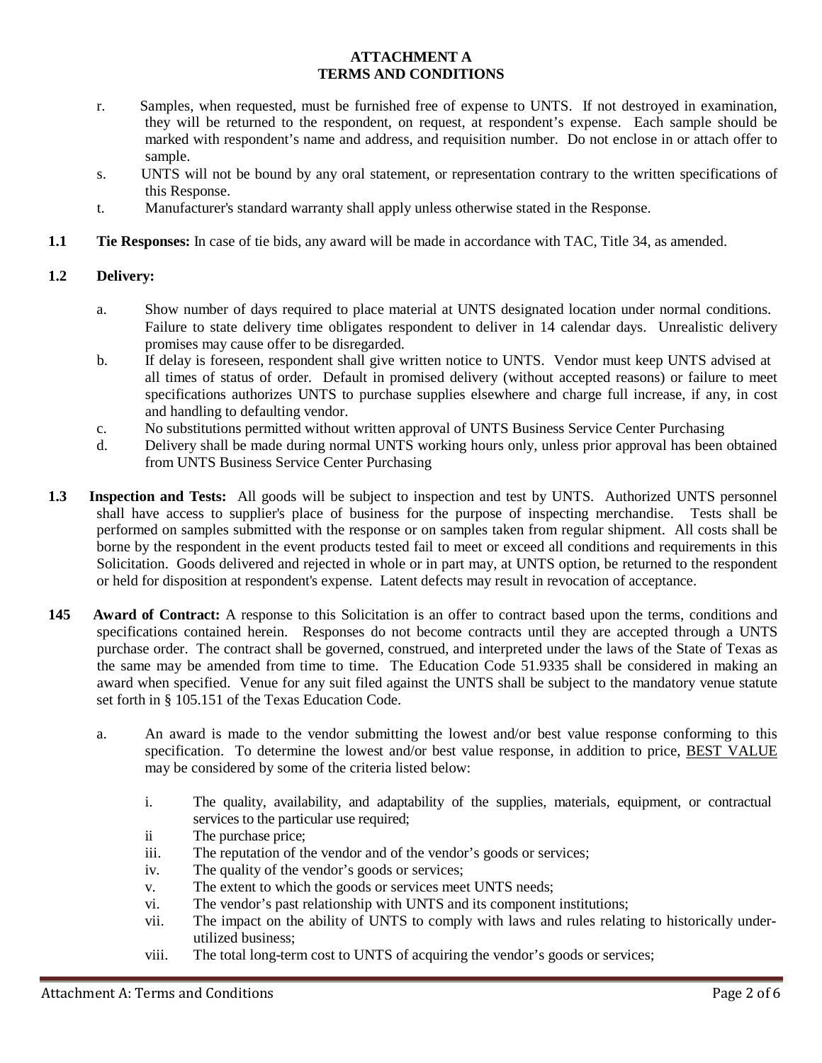- r. Samples, when requested, must be furnished free of expense to UNTS. If not destroyed in examination, they will be returned to the respondent, on request, at respondent's expense. Each sample should be marked with respondent's name and address, and requisition number. Do not enclose in or attach offer to sample.
- s. UNTS will not be bound by any oral statement, or representation contrary to the written specifications of this Response.
- t. Manufacturer's standard warranty shall apply unless otherwise stated in the Response.
- **1.1 Tie Responses:** In case of tie bids, any award will be made in accordance with TAC, Title 34, as amended.

#### **1.2 Delivery:**

- a. Show number of days required to place material at UNTS designated location under normal conditions. Failure to state delivery time obligates respondent to deliver in 14 calendar days. Unrealistic delivery promises may cause offer to be disregarded.
- b. If delay is foreseen, respondent shall give written notice to UNTS. Vendor must keep UNTS advised at all times of status of order. Default in promised delivery (without accepted reasons) or failure to meet specifications authorizes UNTS to purchase supplies elsewhere and charge full increase, if any, in cost and handling to defaulting vendor.
- c. No substitutions permitted without written approval of UNTS Business Service Center Purchasing
- d. Delivery shall be made during normal UNTS working hours only, unless prior approval has been obtained from UNTS Business Service Center Purchasing
- **1.3 Inspection and Tests:** All goods will be subject to inspection and test by UNTS. Authorized UNTS personnel shall have access to supplier's place of business for the purpose of inspecting merchandise. Tests shall be performed on samples submitted with the response or on samples taken from regular shipment. All costs shall be borne by the respondent in the event products tested fail to meet or exceed all conditions and requirements in this Solicitation. Goods delivered and rejected in whole or in part may, at UNTS option, be returned to the respondent or held for disposition at respondent's expense. Latent defects may result in revocation of acceptance.
- **145 Award of Contract:** A response to this Solicitation is an offer to contract based upon the terms, conditions and specifications contained herein. Responses do not become contracts until they are accepted through a UNTS purchase order. The contract shall be governed, construed, and interpreted under the laws of the State of Texas as the same may be amended from time to time. The Education Code 51.9335 shall be considered in making an award when specified. Venue for any suit filed against the UNTS shall be subject to the mandatory venue statute set forth in § 105.151 of the Texas Education Code.
	- a. An award is made to the vendor submitting the lowest and/or best value response conforming to this specification. To determine the lowest and/or best value response, in addition to price, BEST VALUE may be considered by some of the criteria listed below:
		- i. The quality, availability, and adaptability of the supplies, materials, equipment, or contractual services to the particular use required;
		- ii The purchase price;
		- iii. The reputation of the vendor and of the vendor's goods or services;
		- iv. The quality of the vendor's goods or services;
		- v. The extent to which the goods or services meet UNTS needs;
		- vi. The vendor's past relationship with UNTS and its component institutions;
		- vii. The impact on the ability of UNTS to comply with laws and rules relating to historically underutilized business;
		- viii. The total long-term cost to UNTS of acquiring the vendor's goods or services;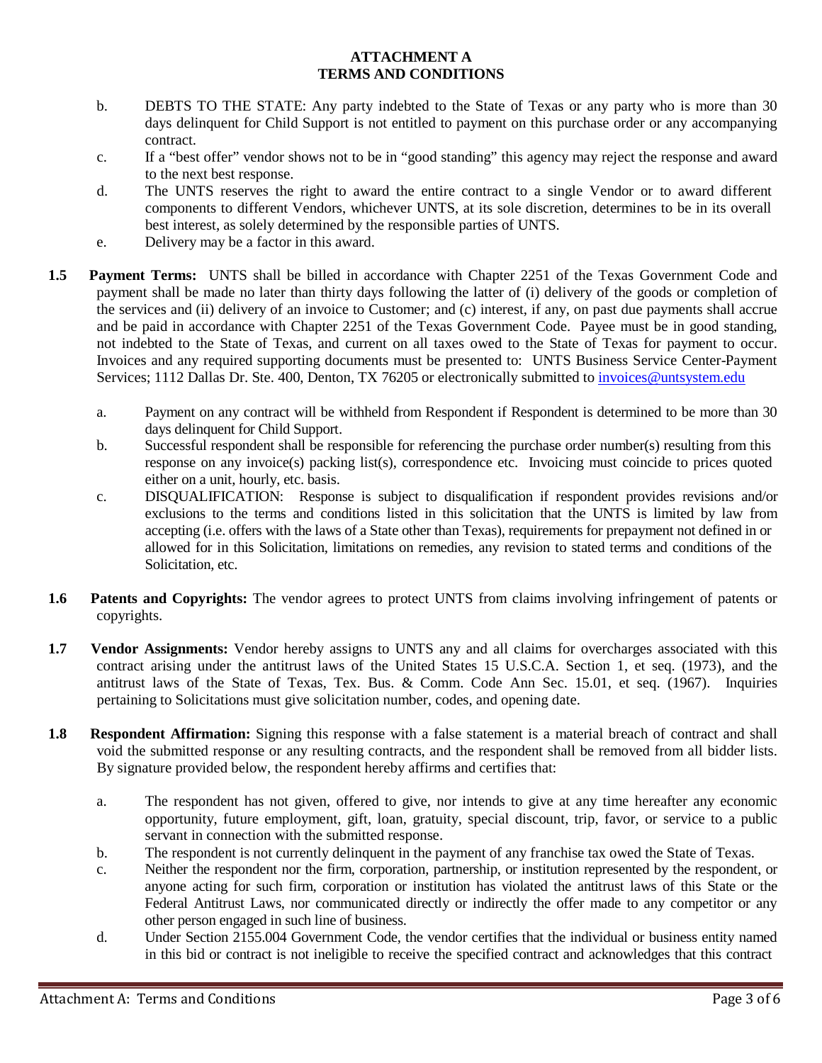- b. DEBTS TO THE STATE: Any party indebted to the State of Texas or any party who is more than 30 days delinquent for Child Support is not entitled to payment on this purchase order or any accompanying contract.
- c. If a "best offer" vendor shows not to be in "good standing" this agency may reject the response and award to the next best response.
- d. The UNTS reserves the right to award the entire contract to a single Vendor or to award different components to different Vendors, whichever UNTS, at its sole discretion, determines to be in its overall best interest, as solely determined by the responsible parties of UNTS.
- e. Delivery may be a factor in this award.
- **1.5 Payment Terms:** UNTS shall be billed in accordance with Chapter 2251 of the Texas Government Code and payment shall be made no later than thirty days following the latter of (i) delivery of the goods or completion of the services and (ii) delivery of an invoice to Customer; and (c) interest, if any, on past due payments shall accrue and be paid in accordance with Chapter 2251 of the Texas Government Code. Payee must be in good standing, not indebted to the State of Texas, and current on all taxes owed to the State of Texas for payment to occur. Invoices and any required supporting documents must be presented to: UNTS Business Service Center-Payment Services; 1112 Dallas Dr. Ste. 400, Denton, TX 76205 or electronically submitted t[o invoices@untsystem.edu](mailto:invoices@untsystem.edu)
	- a. Payment on any contract will be withheld from Respondent if Respondent is determined to be more than 30 days delinquent for Child Support.
	- b. Successful respondent shall be responsible for referencing the purchase order number(s) resulting from this response on any invoice(s) packing list(s), correspondence etc. Invoicing must coincide to prices quoted either on a unit, hourly, etc. basis.
	- c. DISQUALIFICATION: Response is subject to disqualification if respondent provides revisions and/or exclusions to the terms and conditions listed in this solicitation that the UNTS is limited by law from accepting (i.e. offers with the laws of a State other than Texas), requirements for prepayment not defined in or allowed for in this Solicitation, limitations on remedies, any revision to stated terms and conditions of the Solicitation, etc.
- **1.6 Patents and Copyrights:** The vendor agrees to protect UNTS from claims involving infringement of patents or copyrights.
- **1.7 Vendor Assignments:** Vendor hereby assigns to UNTS any and all claims for overcharges associated with this contract arising under the antitrust laws of the United States 15 U.S.C.A. Section 1, et seq. (1973), and the antitrust laws of the State of Texas, Tex. Bus. & Comm. Code Ann Sec. 15.01, et seq. (1967). Inquiries pertaining to Solicitations must give solicitation number, codes, and opening date.
- **1.8 Respondent Affirmation:** Signing this response with a false statement is a material breach of contract and shall void the submitted response or any resulting contracts, and the respondent shall be removed from all bidder lists. By signature provided below, the respondent hereby affirms and certifies that:
	- a. The respondent has not given, offered to give, nor intends to give at any time hereafter any economic opportunity, future employment, gift, loan, gratuity, special discount, trip, favor, or service to a public servant in connection with the submitted response.
	- b. The respondent is not currently delinquent in the payment of any franchise tax owed the State of Texas.
	- c. Neither the respondent nor the firm, corporation, partnership, or institution represented by the respondent, or anyone acting for such firm, corporation or institution has violated the antitrust laws of this State or the Federal Antitrust Laws, nor communicated directly or indirectly the offer made to any competitor or any other person engaged in such line of business.
	- d. Under Section 2155.004 Government Code, the vendor certifies that the individual or business entity named in this bid or contract is not ineligible to receive the specified contract and acknowledges that this contract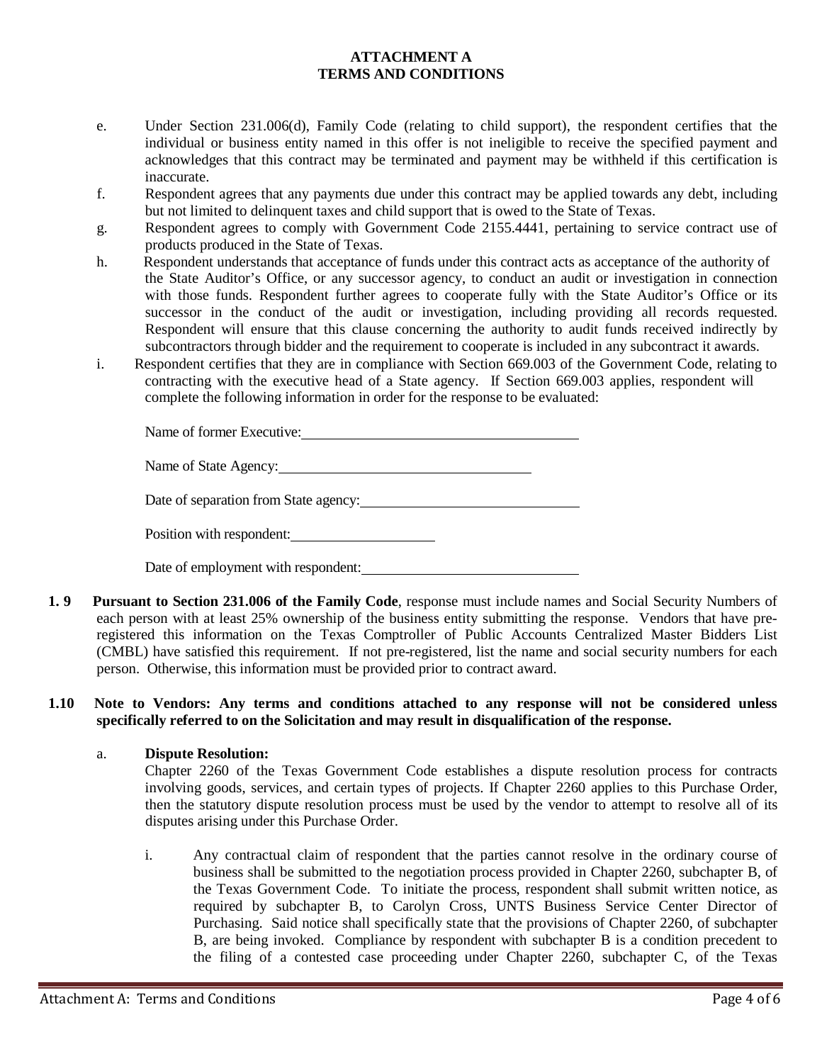- e. Under Section 231.006(d), Family Code (relating to child support), the respondent certifies that the individual or business entity named in this offer is not ineligible to receive the specified payment and acknowledges that this contract may be terminated and payment may be withheld if this certification is inaccurate.
- f. Respondent agrees that any payments due under this contract may be applied towards any debt, including but not limited to delinquent taxes and child support that is owed to the State of Texas.
- g. Respondent agrees to comply with Government Code 2155.4441, pertaining to service contract use of products produced in the State of Texas.
- h. Respondent understands that acceptance of funds under this contract acts as acceptance of the authority of the State Auditor's Office, or any successor agency, to conduct an audit or investigation in connection with those funds. Respondent further agrees to cooperate fully with the State Auditor's Office or its successor in the conduct of the audit or investigation, including providing all records requested. Respondent will ensure that this clause concerning the authority to audit funds received indirectly by subcontractors through bidder and the requirement to cooperate is included in any subcontract it awards.
- i. Respondent certifies that they are in compliance with Section 669.003 of the Government Code, relating to contracting with the executive head of a State agency. If Section 669.003 applies, respondent will complete the following information in order for the response to be evaluated:

Name of former Executive:

Name of State Agency:

Date of separation from State agency:

Position with respondent:

Date of employment with respondent:

**1. 9 Pursuant to Section 231.006 of the Family Code**, response must include names and Social Security Numbers of each person with at least 25% ownership of the business entity submitting the response. Vendors that have preregistered this information on the Texas Comptroller of Public Accounts Centralized Master Bidders List (CMBL) have satisfied this requirement. If not pre-registered, list the name and social security numbers for each person. Otherwise, this information must be provided prior to contract award.

#### **1.10 Note to Vendors: Any terms and conditions attached to any response will not be considered unless specifically referred to on the Solicitation and may result in disqualification of the response.**

#### a. **Dispute Resolution:**

Chapter 2260 of the Texas Government Code establishes a dispute resolution process for contracts involving goods, services, and certain types of projects. If Chapter 2260 applies to this Purchase Order, then the statutory dispute resolution process must be used by the vendor to attempt to resolve all of its disputes arising under this Purchase Order.

i. Any contractual claim of respondent that the parties cannot resolve in the ordinary course of business shall be submitted to the negotiation process provided in Chapter 2260, subchapter B, of the Texas Government Code. To initiate the process, respondent shall submit written notice, as required by subchapter B, to Carolyn Cross, UNTS Business Service Center Director of Purchasing. Said notice shall specifically state that the provisions of Chapter 2260, of subchapter B, are being invoked. Compliance by respondent with subchapter B is a condition precedent to the filing of a contested case proceeding under Chapter 2260, subchapter C, of the Texas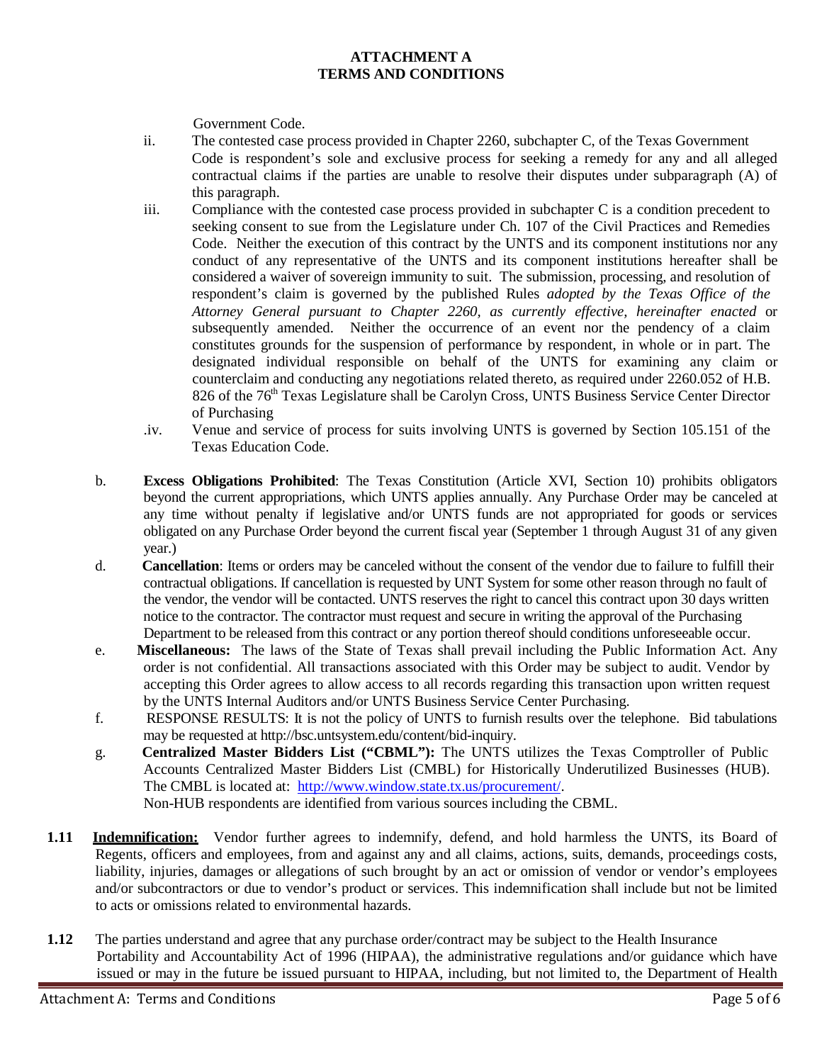Government Code.

- ii. The contested case process provided in Chapter 2260, subchapter C, of the Texas Government Code is respondent's sole and exclusive process for seeking a remedy for any and all alleged contractual claims if the parties are unable to resolve their disputes under subparagraph (A) of this paragraph.
- iii. Compliance with the contested case process provided in subchapter C is a condition precedent to seeking consent to sue from the Legislature under Ch. 107 of the Civil Practices and Remedies Code. Neither the execution of this contract by the UNTS and its component institutions nor any conduct of any representative of the UNTS and its component institutions hereafter shall be considered a waiver of sovereign immunity to suit. The submission, processing, and resolution of respondent's claim is governed by the published Rules *adopted by the Texas Office of the Attorney General pursuant to Chapter 2260, as currently effective, hereinafter enacted* or subsequently amended. Neither the occurrence of an event nor the pendency of a claim constitutes grounds for the suspension of performance by respondent, in whole or in part. The designated individual responsible on behalf of the UNTS for examining any claim or counterclaim and conducting any negotiations related thereto, as required under 2260.052 of H.B. 826 of the 76<sup>th</sup> Texas Legislature shall be Carolyn Cross, UNTS Business Service Center Director of Purchasing
- .iv. Venue and service of process for suits involving UNTS is governed by Section 105.151 of the Texas Education Code.
- b. **Excess Obligations Prohibited**: The Texas Constitution (Article XVI, Section 10) prohibits obligators beyond the current appropriations, which UNTS applies annually. Any Purchase Order may be canceled at any time without penalty if legislative and/or UNTS funds are not appropriated for goods or services obligated on any Purchase Order beyond the current fiscal year (September 1 through August 31 of any given year.)
- d. **Cancellation**: Items or orders may be canceled without the consent of the vendor due to failure to fulfill their contractual obligations. If cancellation is requested by UNT System for some other reason through no fault of the vendor, the vendor will be contacted. UNTS reserves the right to cancel this contract upon 30 days written notice to the contractor. The contractor must request and secure in writing the approval of the Purchasing Department to be released from this contract or any portion thereof should conditions unforeseeable occur.
- e. **Miscellaneous:** The laws of the State of Texas shall prevail including the Public Information Act. Any order is not confidential. All transactions associated with this Order may be subject to audit. Vendor by accepting this Order agrees to allow access to all records regarding this transaction upon written request by the UNTS Internal Auditors and/or UNTS Business Service Center Purchasing.
- f. RESPONSE RESULTS: It is not the policy of UNTS to furnish results over the telephone. Bid tabulations may be requested at [http://bsc.untsystem.edu/content/bid-inquiry.](http://bsc.untsystem.edu/content/bid-inquiry)
- g. **Centralized Master Bidders List ("CBML"):** The UNTS utilizes the Texas Comptroller of Public Accounts Centralized Master Bidders List (CMBL) for Historically Underutilized Businesses (HUB). The CMBL is located at: [http://www.window.state.tx.us/procurement/.](http://www.window.state.tx.us/procurement/) Non-HUB respondents are identified from various sources including the CBML.
- **1.11 Indemnification:** Vendor further agrees to indemnify, defend, and hold harmless the UNTS, its Board of Regents, officers and employees, from and against any and all claims, actions, suits, demands, proceedings costs, liability, injuries, damages or allegations of such brought by an act or omission of vendor or vendor's employees and/or subcontractors or due to vendor's product or services. This indemnification shall include but not be limited to acts or omissions related to environmental hazards.
- **1.12** The parties understand and agree that any purchase order/contract may be subject to the Health Insurance Portability and Accountability Act of 1996 (HIPAA), the administrative regulations and/or guidance which have issued or may in the future be issued pursuant to HIPAA, including, but not limited to, the Department of Health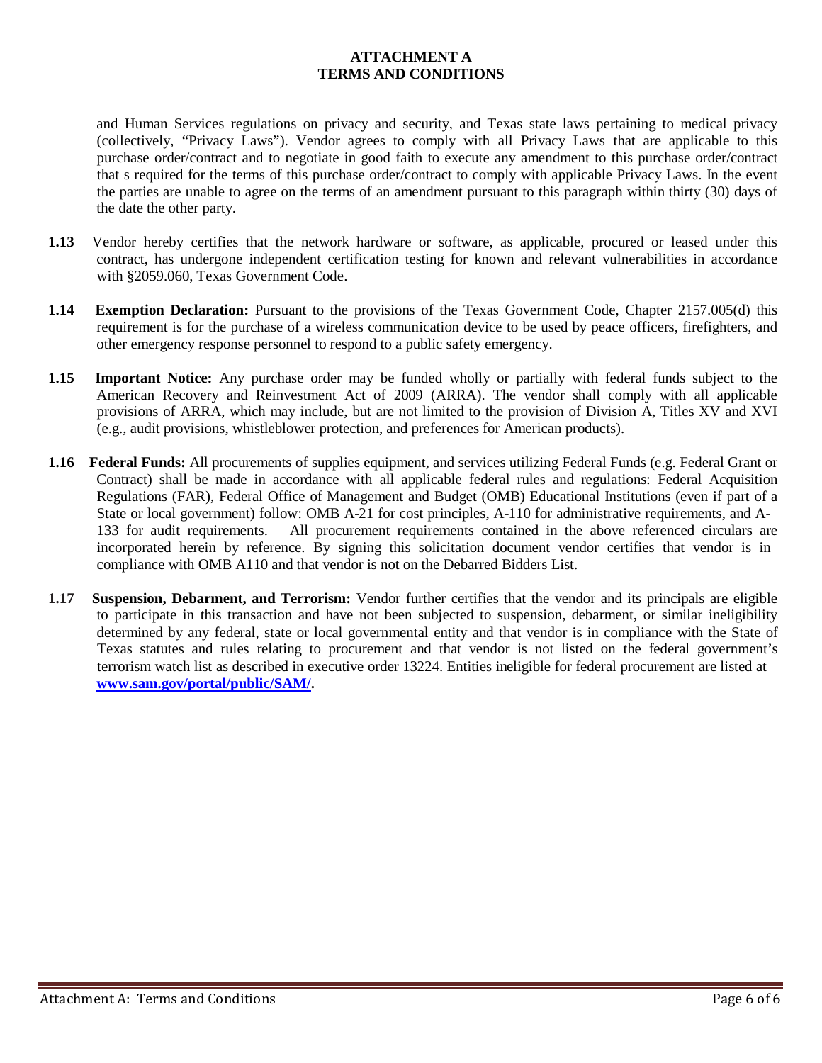and Human Services regulations on privacy and security, and Texas state laws pertaining to medical privacy (collectively, "Privacy Laws"). Vendor agrees to comply with all Privacy Laws that are applicable to this purchase order/contract and to negotiate in good faith to execute any amendment to this purchase order/contract that s required for the terms of this purchase order/contract to comply with applicable Privacy Laws. In the event the parties are unable to agree on the terms of an amendment pursuant to this paragraph within thirty (30) days of the date the other party.

- **1.13** Vendor hereby certifies that the network hardware or software, as applicable, procured or leased under this contract, has undergone independent certification testing for known and relevant vulnerabilities in accordance with §2059.060, Texas Government Code.
- **1.14 Exemption Declaration:** Pursuant to the provisions of the Texas Government Code, Chapter 2157.005(d) this requirement is for the purchase of a wireless communication device to be used by peace officers, firefighters, and other emergency response personnel to respond to a public safety emergency.
- **1.15 Important Notice:** Any purchase order may be funded wholly or partially with federal funds subject to the American Recovery and Reinvestment Act of 2009 (ARRA). The vendor shall comply with all applicable provisions of ARRA, which may include, but are not limited to the provision of Division A, Titles XV and XVI (e.g., audit provisions, whistleblower protection, and preferences for American products).
- **1.16 Federal Funds:** All procurements of supplies equipment, and services utilizing Federal Funds (e.g. Federal Grant or Contract) shall be made in accordance with all applicable federal rules and regulations: Federal Acquisition Regulations (FAR), Federal Office of Management and Budget (OMB) Educational Institutions (even if part of a State or local government) follow: OMB A-21 for cost principles, A-110 for administrative requirements, and A-133 for audit requirements. All procurement requirements contained in the above referenced circulars are incorporated herein by reference. By signing this solicitation document vendor certifies that vendor is in compliance with OMB A110 and that vendor is not on the Debarred Bidders List.
- **1.17 Suspension, Debarment, and Terrorism:** Vendor further certifies that the vendor and its principals are eligible to participate in this transaction and have not been subjected to suspension, debarment, or similar ineligibility determined by any federal, state or local governmental entity and that vendor is in compliance with the State of Texas statutes and rules relating to procurement and that vendor is not listed on the federal government's terrorism watch list as described in executive order 13224. Entities ineligible for federal procurement are listed at **[www.sam.gov/portal/public/SAM/.](http://www.sam.gov/portal/public/SAM/)**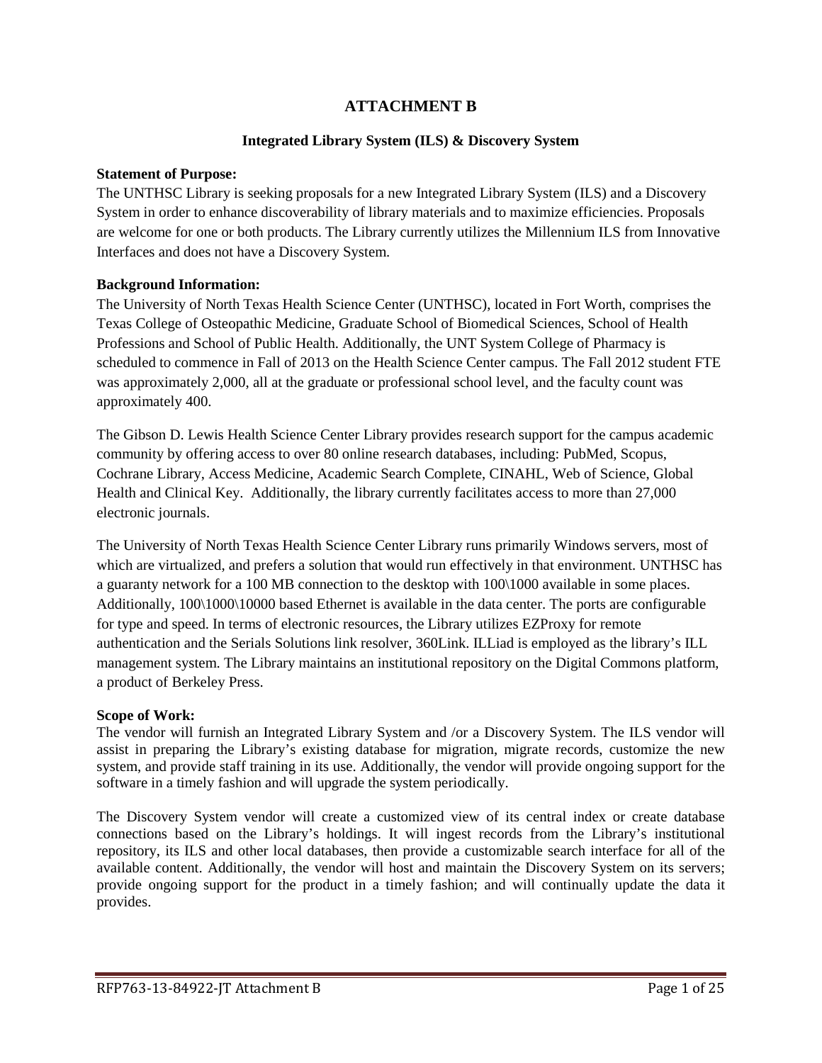### **ATTACHMENT B**

#### **Integrated Library System (ILS) & Discovery System**

#### **Statement of Purpose:**

The UNTHSC Library is seeking proposals for a new Integrated Library System (ILS) and a Discovery System in order to enhance discoverability of library materials and to maximize efficiencies. Proposals are welcome for one or both products. The Library currently utilizes the Millennium ILS from Innovative Interfaces and does not have a Discovery System.

#### **Background Information:**

The University of North Texas Health Science Center (UNTHSC), located in Fort Worth, comprises the Texas College of Osteopathic Medicine, Graduate School of Biomedical Sciences, School of Health Professions and School of Public Health. Additionally, the UNT System College of Pharmacy is scheduled to commence in Fall of 2013 on the Health Science Center campus. The Fall 2012 student FTE was approximately 2,000, all at the graduate or professional school level, and the faculty count was approximately 400.

The Gibson D. Lewis Health Science Center Library provides research support for the campus academic community by offering access to over 80 online research databases, including: PubMed, Scopus, Cochrane Library, Access Medicine, Academic Search Complete, CINAHL, Web of Science, Global Health and Clinical Key. Additionally, the library currently facilitates access to more than 27,000 electronic journals.

The University of North Texas Health Science Center Library runs primarily Windows servers, most of which are virtualized, and prefers a solution that would run effectively in that environment. UNTHSC has a guaranty network for a 100 MB connection to the desktop with 100\1000 available in some places. Additionally, 100\1000\10000 based Ethernet is available in the data center. The ports are configurable for type and speed. In terms of electronic resources, the Library utilizes EZProxy for remote authentication and the Serials Solutions link resolver, 360Link. ILLiad is employed as the library's ILL management system. The Library maintains an institutional repository on the Digital Commons platform, a product of Berkeley Press.

#### **Scope of Work:**

The vendor will furnish an Integrated Library System and /or a Discovery System. The ILS vendor will assist in preparing the Library's existing database for migration, migrate records, customize the new system, and provide staff training in its use. Additionally, the vendor will provide ongoing support for the software in a timely fashion and will upgrade the system periodically.

The Discovery System vendor will create a customized view of its central index or create database connections based on the Library's holdings. It will ingest records from the Library's institutional repository, its ILS and other local databases, then provide a customizable search interface for all of the available content. Additionally, the vendor will host and maintain the Discovery System on its servers; provide ongoing support for the product in a timely fashion; and will continually update the data it provides.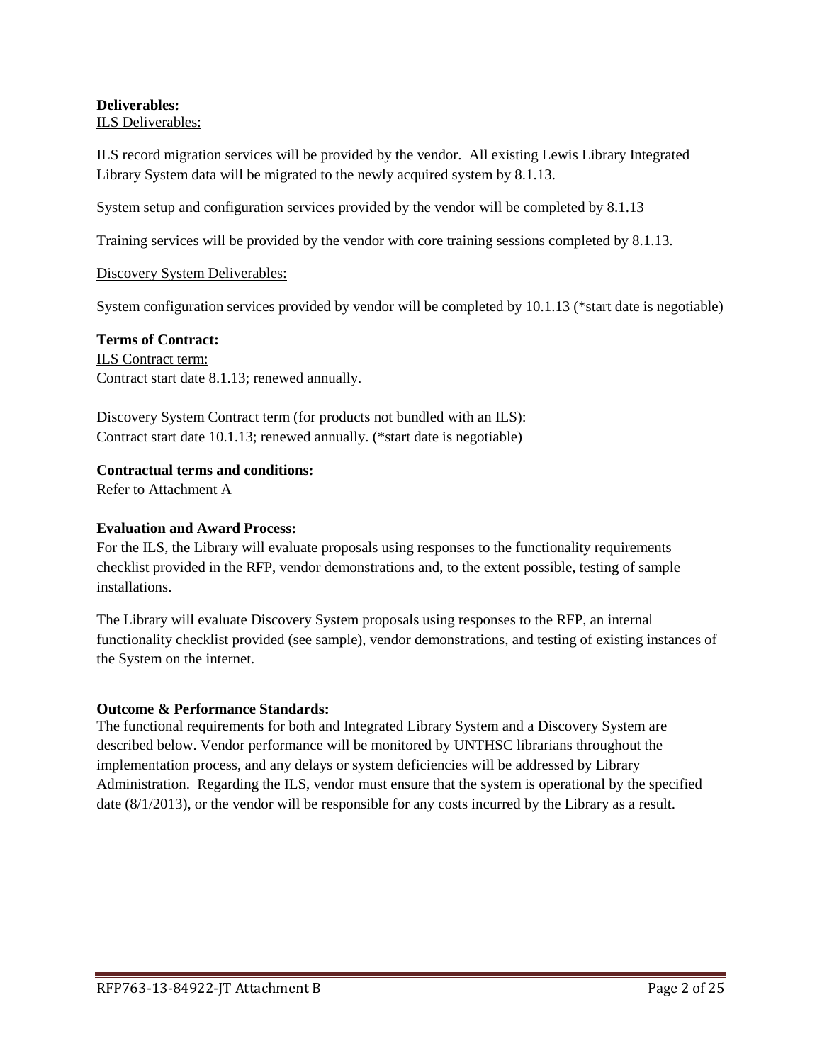### **Deliverables:**

ILS Deliverables:

ILS record migration services will be provided by the vendor. All existing Lewis Library Integrated Library System data will be migrated to the newly acquired system by 8.1.13.

System setup and configuration services provided by the vendor will be completed by 8.1.13

Training services will be provided by the vendor with core training sessions completed by 8.1.13.

#### Discovery System Deliverables:

System configuration services provided by vendor will be completed by 10.1.13 (\*start date is negotiable)

#### **Terms of Contract:**

ILS Contract term: Contract start date 8.1.13; renewed annually.

Discovery System Contract term (for products not bundled with an ILS): Contract start date 10.1.13; renewed annually. (\*start date is negotiable)

#### **Contractual terms and conditions:**

Refer to Attachment A

#### **Evaluation and Award Process:**

For the ILS, the Library will evaluate proposals using responses to the functionality requirements checklist provided in the RFP, vendor demonstrations and, to the extent possible, testing of sample installations.

The Library will evaluate Discovery System proposals using responses to the RFP, an internal functionality checklist provided (see sample), vendor demonstrations, and testing of existing instances of the System on the internet.

#### **Outcome & Performance Standards:**

The functional requirements for both and Integrated Library System and a Discovery System are described below. Vendor performance will be monitored by UNTHSC librarians throughout the implementation process, and any delays or system deficiencies will be addressed by Library Administration. Regarding the ILS, vendor must ensure that the system is operational by the specified date (8/1/2013), or the vendor will be responsible for any costs incurred by the Library as a result.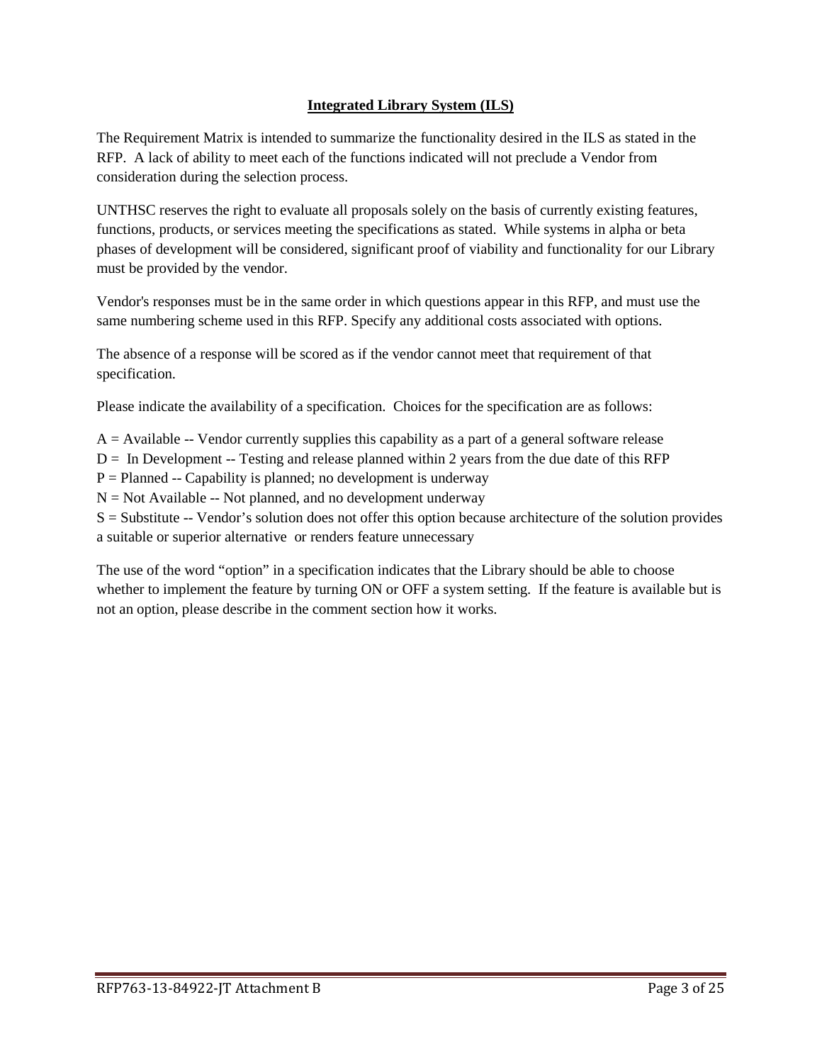### **Integrated Library System (ILS)**

The Requirement Matrix is intended to summarize the functionality desired in the ILS as stated in the RFP. A lack of ability to meet each of the functions indicated will not preclude a Vendor from consideration during the selection process.

UNTHSC reserves the right to evaluate all proposals solely on the basis of currently existing features, functions, products, or services meeting the specifications as stated. While systems in alpha or beta phases of development will be considered, significant proof of viability and functionality for our Library must be provided by the vendor.

Vendor's responses must be in the same order in which questions appear in this RFP, and must use the same numbering scheme used in this RFP. Specify any additional costs associated with options.

The absence of a response will be scored as if the vendor cannot meet that requirement of that specification.

Please indicate the availability of a specification. Choices for the specification are as follows:

 $A =$  Available  $-$ - Vendor currently supplies this capability as a part of a general software release

 $D = In Development - Testing and release planned within 2 years from the due date of this RFP$ 

 $P =$  Planned -- Capability is planned; no development is underway

 $N = Not Available - Not planned, and no development underway$ 

 $S =$  Substitute  $-$  Vendor's solution does not offer this option because architecture of the solution provides a suitable or superior alternative or renders feature unnecessary

The use of the word "option" in a specification indicates that the Library should be able to choose whether to implement the feature by turning ON or OFF a system setting. If the feature is available but is not an option, please describe in the comment section how it works.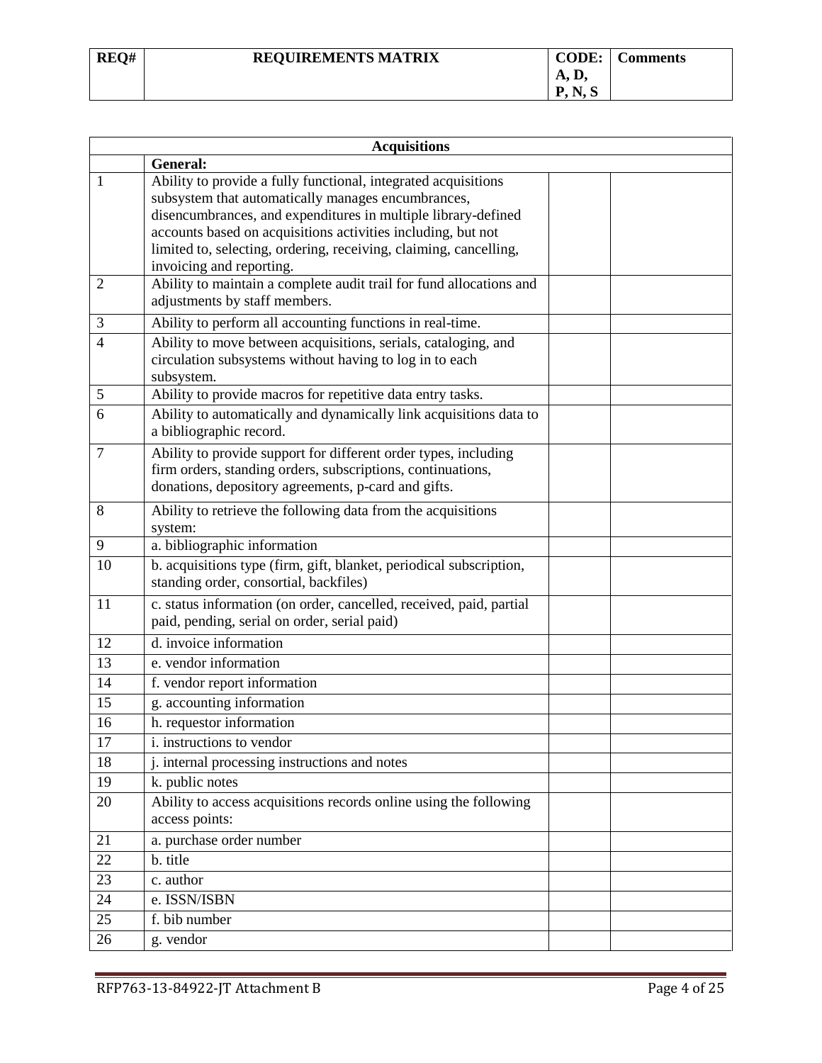|                 | <b>Acquisitions</b>                                                                                                                                                                                                                                                                                                                                    |  |
|-----------------|--------------------------------------------------------------------------------------------------------------------------------------------------------------------------------------------------------------------------------------------------------------------------------------------------------------------------------------------------------|--|
|                 | General:                                                                                                                                                                                                                                                                                                                                               |  |
| $\mathbf{1}$    | Ability to provide a fully functional, integrated acquisitions<br>subsystem that automatically manages encumbrances,<br>disencumbrances, and expenditures in multiple library-defined<br>accounts based on acquisitions activities including, but not<br>limited to, selecting, ordering, receiving, claiming, cancelling,<br>invoicing and reporting. |  |
| $\overline{2}$  | Ability to maintain a complete audit trail for fund allocations and<br>adjustments by staff members.                                                                                                                                                                                                                                                   |  |
| 3               | Ability to perform all accounting functions in real-time.                                                                                                                                                                                                                                                                                              |  |
| $\overline{4}$  | Ability to move between acquisitions, serials, cataloging, and<br>circulation subsystems without having to log in to each<br>subsystem.                                                                                                                                                                                                                |  |
| 5               | Ability to provide macros for repetitive data entry tasks.                                                                                                                                                                                                                                                                                             |  |
| 6               | Ability to automatically and dynamically link acquisitions data to<br>a bibliographic record.                                                                                                                                                                                                                                                          |  |
| $\overline{7}$  | Ability to provide support for different order types, including<br>firm orders, standing orders, subscriptions, continuations,<br>donations, depository agreements, p-card and gifts.                                                                                                                                                                  |  |
| 8               | Ability to retrieve the following data from the acquisitions<br>system:                                                                                                                                                                                                                                                                                |  |
| 9               | a. bibliographic information                                                                                                                                                                                                                                                                                                                           |  |
| 10              | b. acquisitions type (firm, gift, blanket, periodical subscription,<br>standing order, consortial, backfiles)                                                                                                                                                                                                                                          |  |
| 11              | c. status information (on order, cancelled, received, paid, partial<br>paid, pending, serial on order, serial paid)                                                                                                                                                                                                                                    |  |
| 12              | d. invoice information                                                                                                                                                                                                                                                                                                                                 |  |
| 13              | e. vendor information                                                                                                                                                                                                                                                                                                                                  |  |
| 14              | f. vendor report information                                                                                                                                                                                                                                                                                                                           |  |
| 15              | g. accounting information                                                                                                                                                                                                                                                                                                                              |  |
| 16              | h. requestor information                                                                                                                                                                                                                                                                                                                               |  |
| $\overline{17}$ | i. instructions to vendor                                                                                                                                                                                                                                                                                                                              |  |
| 18              | j. internal processing instructions and notes                                                                                                                                                                                                                                                                                                          |  |
| 19              | k. public notes                                                                                                                                                                                                                                                                                                                                        |  |
| 20              | Ability to access acquisitions records online using the following<br>access points:                                                                                                                                                                                                                                                                    |  |
| 21              | a. purchase order number                                                                                                                                                                                                                                                                                                                               |  |
| 22              | b. title                                                                                                                                                                                                                                                                                                                                               |  |
| 23              | c. author                                                                                                                                                                                                                                                                                                                                              |  |
| 24              | e. ISSN/ISBN                                                                                                                                                                                                                                                                                                                                           |  |
| 25              | f. bib number                                                                                                                                                                                                                                                                                                                                          |  |
| 26              | g. vendor                                                                                                                                                                                                                                                                                                                                              |  |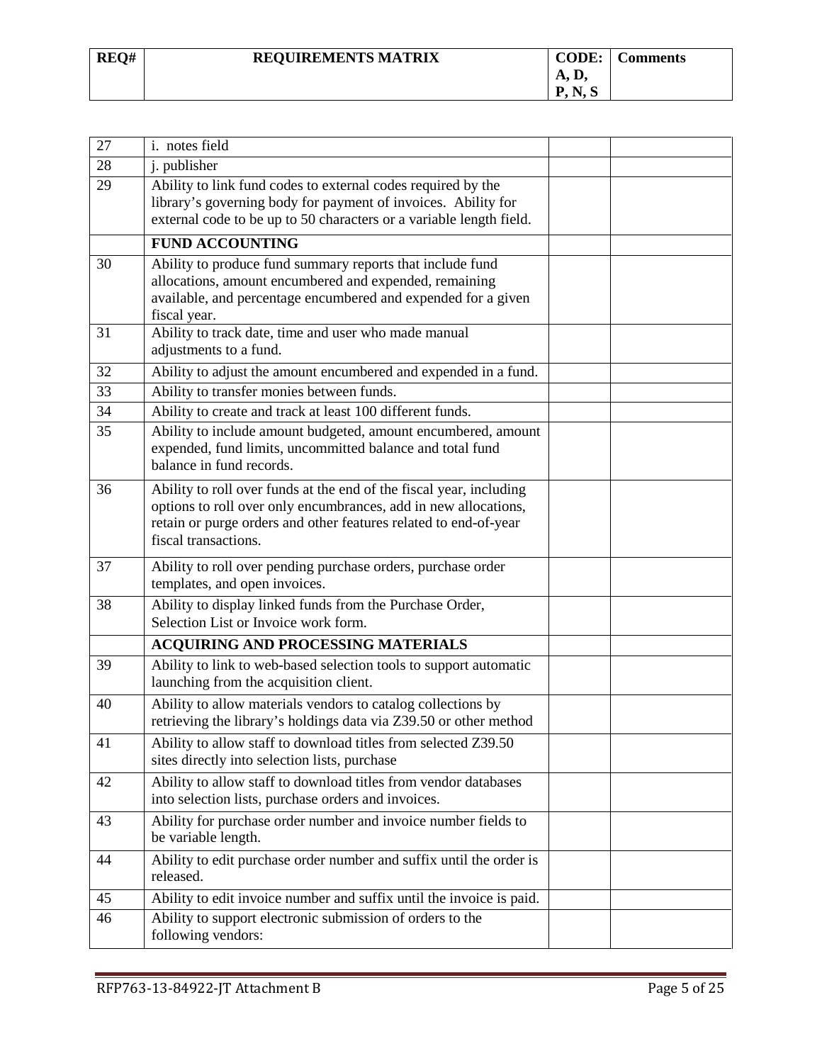| REQ# | <b>REQUIREMENTS MATRIX</b> | <b>CODE:</b> | Comments |
|------|----------------------------|--------------|----------|
|      |                            | A, D.        |          |
|      |                            | P, N, S      |          |

| 27 | i. notes field                                                                                                                                                                                                                     |  |
|----|------------------------------------------------------------------------------------------------------------------------------------------------------------------------------------------------------------------------------------|--|
| 28 | j. publisher                                                                                                                                                                                                                       |  |
| 29 | Ability to link fund codes to external codes required by the<br>library's governing body for payment of invoices. Ability for<br>external code to be up to 50 characters or a variable length field.                               |  |
|    | <b>FUND ACCOUNTING</b>                                                                                                                                                                                                             |  |
| 30 | Ability to produce fund summary reports that include fund<br>allocations, amount encumbered and expended, remaining<br>available, and percentage encumbered and expended for a given<br>fiscal year.                               |  |
| 31 | Ability to track date, time and user who made manual<br>adjustments to a fund.                                                                                                                                                     |  |
| 32 | Ability to adjust the amount encumbered and expended in a fund.                                                                                                                                                                    |  |
| 33 | Ability to transfer monies between funds.                                                                                                                                                                                          |  |
| 34 | Ability to create and track at least 100 different funds.                                                                                                                                                                          |  |
| 35 | Ability to include amount budgeted, amount encumbered, amount<br>expended, fund limits, uncommitted balance and total fund<br>balance in fund records.                                                                             |  |
| 36 | Ability to roll over funds at the end of the fiscal year, including<br>options to roll over only encumbrances, add in new allocations,<br>retain or purge orders and other features related to end-of-year<br>fiscal transactions. |  |
| 37 | Ability to roll over pending purchase orders, purchase order<br>templates, and open invoices.                                                                                                                                      |  |
| 38 | Ability to display linked funds from the Purchase Order,<br>Selection List or Invoice work form.                                                                                                                                   |  |
|    | <b>ACQUIRING AND PROCESSING MATERIALS</b>                                                                                                                                                                                          |  |
| 39 | Ability to link to web-based selection tools to support automatic<br>launching from the acquisition client.                                                                                                                        |  |
| 40 | Ability to allow materials vendors to catalog collections by<br>retrieving the library's holdings data via Z39.50 or other method                                                                                                  |  |
| 41 | Ability to allow staff to download titles from selected Z39.50<br>sites directly into selection lists, purchase                                                                                                                    |  |
| 42 | Ability to allow staff to download titles from vendor databases<br>into selection lists, purchase orders and invoices.                                                                                                             |  |
| 43 | Ability for purchase order number and invoice number fields to<br>be variable length.                                                                                                                                              |  |
| 44 | Ability to edit purchase order number and suffix until the order is<br>released.                                                                                                                                                   |  |
| 45 | Ability to edit invoice number and suffix until the invoice is paid.                                                                                                                                                               |  |
| 46 | Ability to support electronic submission of orders to the<br>following vendors:                                                                                                                                                    |  |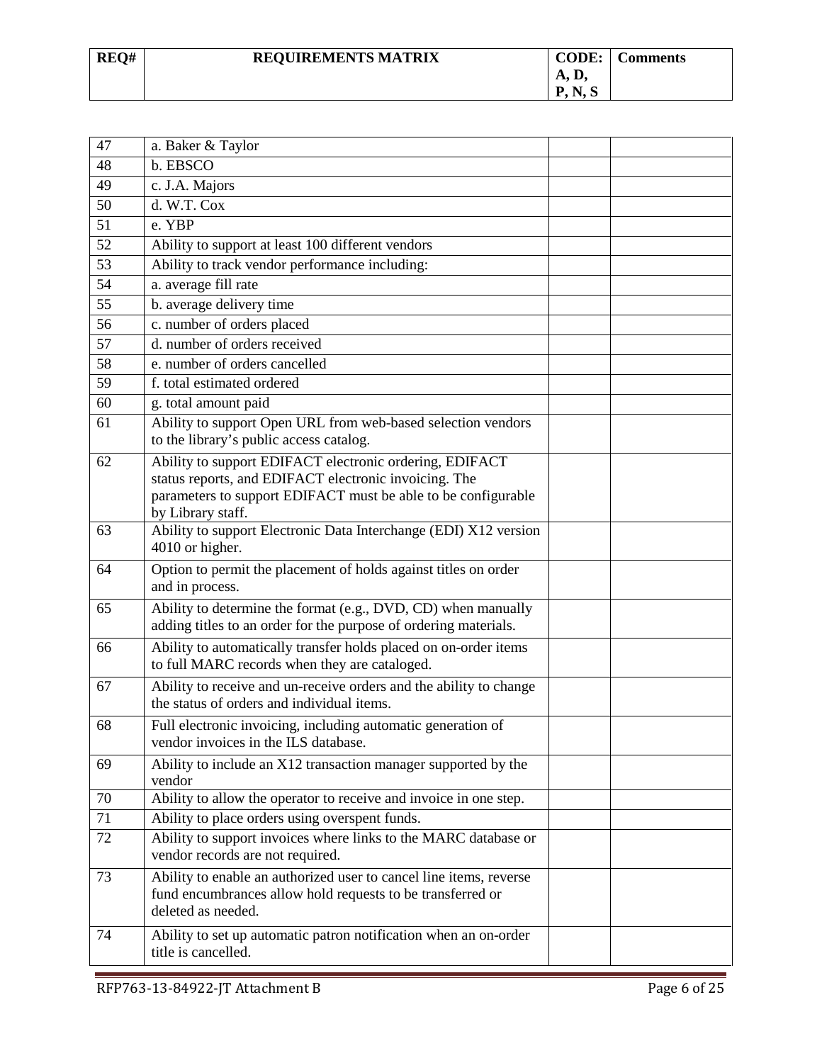| REQ# | <b>REQUIREMENTS MATRIX</b> | <b>CODE:</b> | <b>Comments</b> |
|------|----------------------------|--------------|-----------------|
|      |                            | A, D,        |                 |
|      |                            | P, N, S      |                 |

| 47 | a. Baker & Taylor                                                                                   |  |
|----|-----------------------------------------------------------------------------------------------------|--|
| 48 | b. EBSCO                                                                                            |  |
| 49 | c. J.A. Majors                                                                                      |  |
| 50 | d. W.T. Cox                                                                                         |  |
| 51 | e. YBP                                                                                              |  |
| 52 | Ability to support at least 100 different vendors                                                   |  |
| 53 | Ability to track vendor performance including:                                                      |  |
| 54 | a. average fill rate                                                                                |  |
| 55 | b. average delivery time                                                                            |  |
| 56 | c. number of orders placed                                                                          |  |
| 57 | d. number of orders received                                                                        |  |
| 58 | e. number of orders cancelled                                                                       |  |
| 59 | f. total estimated ordered                                                                          |  |
| 60 | g. total amount paid                                                                                |  |
| 61 | Ability to support Open URL from web-based selection vendors                                        |  |
|    | to the library's public access catalog.                                                             |  |
| 62 | Ability to support EDIFACT electronic ordering, EDIFACT                                             |  |
|    | status reports, and EDIFACT electronic invoicing. The                                               |  |
|    | parameters to support EDIFACT must be able to be configurable<br>by Library staff.                  |  |
| 63 | Ability to support Electronic Data Interchange (EDI) X12 version                                    |  |
|    | 4010 or higher.                                                                                     |  |
| 64 | Option to permit the placement of holds against titles on order                                     |  |
|    | and in process.                                                                                     |  |
| 65 | Ability to determine the format (e.g., DVD, CD) when manually                                       |  |
|    | adding titles to an order for the purpose of ordering materials.                                    |  |
| 66 | Ability to automatically transfer holds placed on on-order items                                    |  |
|    | to full MARC records when they are cataloged.                                                       |  |
| 67 | Ability to receive and un-receive orders and the ability to change                                  |  |
|    | the status of orders and individual items.                                                          |  |
| 68 | Full electronic invoicing, including automatic generation of                                        |  |
|    | vendor invoices in the ILS database.                                                                |  |
| 69 | Ability to include an X12 transaction manager supported by the                                      |  |
|    | vendor                                                                                              |  |
| 70 | Ability to allow the operator to receive and invoice in one step.                                   |  |
| 71 | Ability to place orders using overspent funds.                                                      |  |
| 72 | Ability to support invoices where links to the MARC database or<br>vendor records are not required. |  |
| 73 | Ability to enable an authorized user to cancel line items, reverse                                  |  |
|    | fund encumbrances allow hold requests to be transferred or                                          |  |
|    | deleted as needed.                                                                                  |  |
| 74 | Ability to set up automatic patron notification when an on-order                                    |  |
|    | title is cancelled.                                                                                 |  |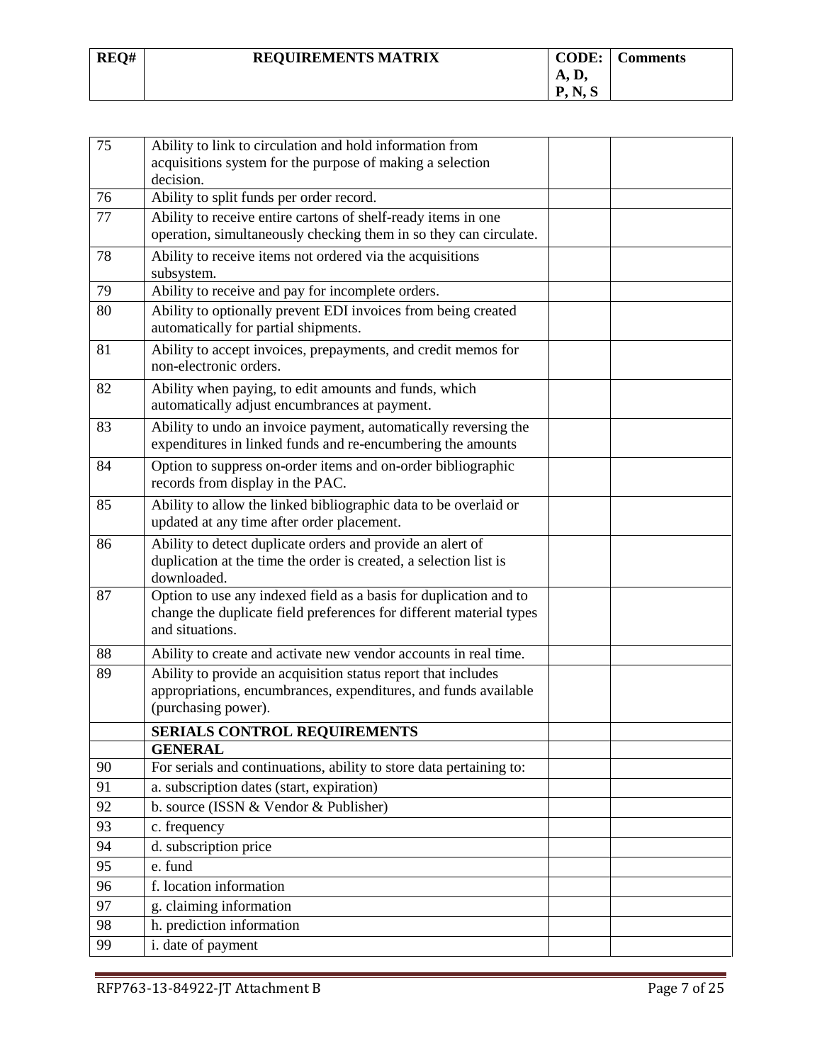| REQ# | <b>REQUIREMENTS MATRIX</b> | <b>CODE:</b> | <b>Comments</b> |
|------|----------------------------|--------------|-----------------|
|      |                            | A, D,        |                 |
|      |                            | P, N, S      |                 |

| 75 | Ability to link to circulation and hold information from<br>acquisitions system for the purpose of making a selection<br>decision.                          |  |
|----|-------------------------------------------------------------------------------------------------------------------------------------------------------------|--|
| 76 | Ability to split funds per order record.                                                                                                                    |  |
| 77 | Ability to receive entire cartons of shelf-ready items in one<br>operation, simultaneously checking them in so they can circulate.                          |  |
| 78 | Ability to receive items not ordered via the acquisitions<br>subsystem.                                                                                     |  |
| 79 | Ability to receive and pay for incomplete orders.                                                                                                           |  |
| 80 | Ability to optionally prevent EDI invoices from being created<br>automatically for partial shipments.                                                       |  |
| 81 | Ability to accept invoices, prepayments, and credit memos for<br>non-electronic orders.                                                                     |  |
| 82 | Ability when paying, to edit amounts and funds, which<br>automatically adjust encumbrances at payment.                                                      |  |
| 83 | Ability to undo an invoice payment, automatically reversing the<br>expenditures in linked funds and re-encumbering the amounts                              |  |
| 84 | Option to suppress on-order items and on-order bibliographic<br>records from display in the PAC.                                                            |  |
| 85 | Ability to allow the linked bibliographic data to be overlaid or<br>updated at any time after order placement.                                              |  |
| 86 | Ability to detect duplicate orders and provide an alert of<br>duplication at the time the order is created, a selection list is<br>downloaded.              |  |
| 87 | Option to use any indexed field as a basis for duplication and to<br>change the duplicate field preferences for different material types<br>and situations. |  |
| 88 | Ability to create and activate new vendor accounts in real time.                                                                                            |  |
| 89 | Ability to provide an acquisition status report that includes<br>appropriations, encumbrances, expenditures, and funds available<br>(purchasing power).     |  |
|    | <b>SERIALS CONTROL REQUIREMENTS</b>                                                                                                                         |  |
|    | <b>GENERAL</b>                                                                                                                                              |  |
| 90 | For serials and continuations, ability to store data pertaining to:                                                                                         |  |
| 91 | a. subscription dates (start, expiration)                                                                                                                   |  |
| 92 | b. source (ISSN & Vendor & Publisher)                                                                                                                       |  |
| 93 | c. frequency                                                                                                                                                |  |
| 94 | d. subscription price                                                                                                                                       |  |
| 95 | e. fund                                                                                                                                                     |  |
| 96 | f. location information                                                                                                                                     |  |
| 97 | g. claiming information                                                                                                                                     |  |
| 98 | h. prediction information                                                                                                                                   |  |
| 99 | i. date of payment                                                                                                                                          |  |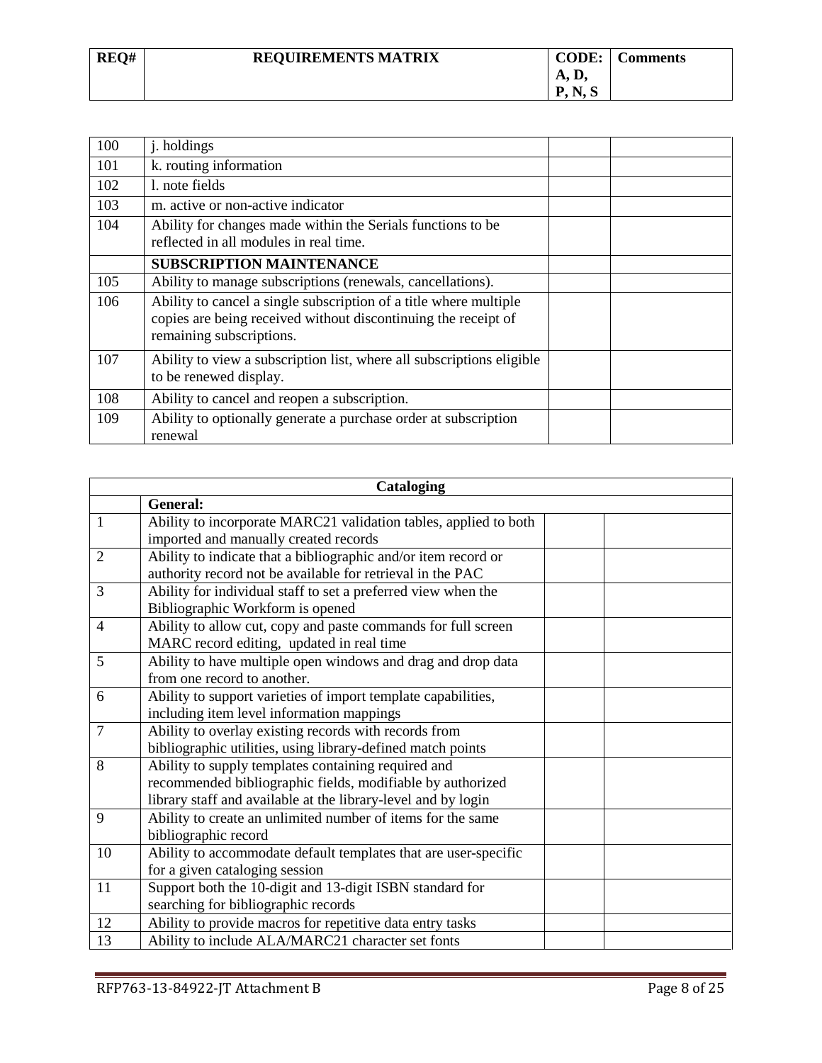| REQ# | <b>REQUIREMENTS MATRIX</b> | <b>CODE:</b>     | <b>Comments</b> |
|------|----------------------------|------------------|-----------------|
|      |                            | A, D,            |                 |
|      |                            | N<br>D<br>1.11.0 |                 |

| 100 | j. holdings                                                                                                                                                     |  |
|-----|-----------------------------------------------------------------------------------------------------------------------------------------------------------------|--|
| 101 | k. routing information                                                                                                                                          |  |
| 102 | l. note fields                                                                                                                                                  |  |
| 103 | m. active or non-active indicator                                                                                                                               |  |
| 104 | Ability for changes made within the Serials functions to be<br>reflected in all modules in real time.                                                           |  |
|     | <b>SUBSCRIPTION MAINTENANCE</b>                                                                                                                                 |  |
| 105 | Ability to manage subscriptions (renewals, cancellations).                                                                                                      |  |
| 106 | Ability to cancel a single subscription of a title where multiple<br>copies are being received without discontinuing the receipt of<br>remaining subscriptions. |  |
| 107 | Ability to view a subscription list, where all subscriptions eligible<br>to be renewed display.                                                                 |  |
| 108 | Ability to cancel and reopen a subscription.                                                                                                                    |  |
| 109 | Ability to optionally generate a purchase order at subscription<br>renewal                                                                                      |  |

|                | Cataloging                                                                                                                                                                         |  |  |
|----------------|------------------------------------------------------------------------------------------------------------------------------------------------------------------------------------|--|--|
|                | <b>General:</b>                                                                                                                                                                    |  |  |
| 1              | Ability to incorporate MARC21 validation tables, applied to both<br>imported and manually created records                                                                          |  |  |
| $\overline{2}$ | Ability to indicate that a bibliographic and/or item record or<br>authority record not be available for retrieval in the PAC                                                       |  |  |
| 3              | Ability for individual staff to set a preferred view when the<br>Bibliographic Workform is opened                                                                                  |  |  |
| $\overline{4}$ | Ability to allow cut, copy and paste commands for full screen<br>MARC record editing, updated in real time                                                                         |  |  |
| 5              | Ability to have multiple open windows and drag and drop data<br>from one record to another.                                                                                        |  |  |
| 6              | Ability to support varieties of import template capabilities,<br>including item level information mappings                                                                         |  |  |
| $\overline{7}$ | Ability to overlay existing records with records from<br>bibliographic utilities, using library-defined match points                                                               |  |  |
| 8              | Ability to supply templates containing required and<br>recommended bibliographic fields, modifiable by authorized<br>library staff and available at the library-level and by login |  |  |
| 9              | Ability to create an unlimited number of items for the same<br>bibliographic record                                                                                                |  |  |
| 10             | Ability to accommodate default templates that are user-specific<br>for a given cataloging session                                                                                  |  |  |
| 11             | Support both the 10-digit and 13-digit ISBN standard for<br>searching for bibliographic records                                                                                    |  |  |
| 12             | Ability to provide macros for repetitive data entry tasks                                                                                                                          |  |  |
| 13             | Ability to include ALA/MARC21 character set fonts                                                                                                                                  |  |  |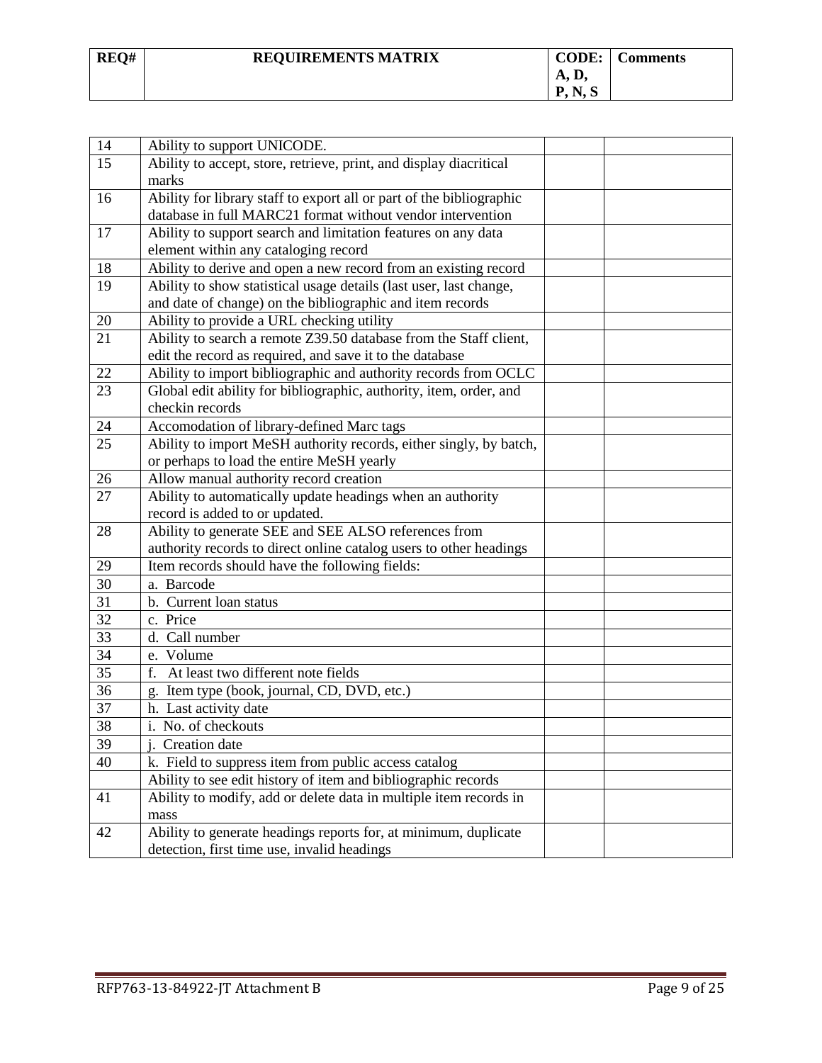| REQ# | <b>REQUIREMENTS MATRIX</b> | <b>CODE:</b> | Comments |
|------|----------------------------|--------------|----------|
|      |                            | A, D,        |          |
|      |                            | P, N, S      |          |

| 14              | Ability to support UNICODE.                                          |  |
|-----------------|----------------------------------------------------------------------|--|
| 15              | Ability to accept, store, retrieve, print, and display diacritical   |  |
|                 | marks                                                                |  |
| 16              | Ability for library staff to export all or part of the bibliographic |  |
|                 | database in full MARC21 format without vendor intervention           |  |
| 17              | Ability to support search and limitation features on any data        |  |
|                 | element within any cataloging record                                 |  |
| 18              | Ability to derive and open a new record from an existing record      |  |
| 19              | Ability to show statistical usage details (last user, last change,   |  |
|                 | and date of change) on the bibliographic and item records            |  |
| $20\,$          | Ability to provide a URL checking utility                            |  |
| $\overline{21}$ | Ability to search a remote Z39.50 database from the Staff client,    |  |
|                 | edit the record as required, and save it to the database             |  |
| 22              | Ability to import bibliographic and authority records from OCLC      |  |
| 23              | Global edit ability for bibliographic, authority, item, order, and   |  |
|                 | checkin records                                                      |  |
| 24              | Accomodation of library-defined Marc tags                            |  |
| 25              | Ability to import MeSH authority records, either singly, by batch,   |  |
|                 | or perhaps to load the entire MeSH yearly                            |  |
| 26              | Allow manual authority record creation                               |  |
| 27              | Ability to automatically update headings when an authority           |  |
|                 | record is added to or updated.                                       |  |
| 28              | Ability to generate SEE and SEE ALSO references from                 |  |
|                 | authority records to direct online catalog users to other headings   |  |
| 29              | Item records should have the following fields:                       |  |
| 30              | a. Barcode                                                           |  |
| $\overline{31}$ | b. Current loan status                                               |  |
| 32              | c. Price                                                             |  |
| $\overline{33}$ | d. Call number                                                       |  |
| 34              | e. Volume                                                            |  |
| 35              | At least two different note fields<br>f.                             |  |
| 36              | g. Item type (book, journal, CD, DVD, etc.)                          |  |
| 37              | h. Last activity date                                                |  |
| 38              | i. No. of checkouts                                                  |  |
| 39              | Creation date                                                        |  |
| 40              | k. Field to suppress item from public access catalog                 |  |
|                 | Ability to see edit history of item and bibliographic records        |  |
| 41              | Ability to modify, add or delete data in multiple item records in    |  |
|                 | mass                                                                 |  |
| 42              | Ability to generate headings reports for, at minimum, duplicate      |  |
|                 | detection, first time use, invalid headings                          |  |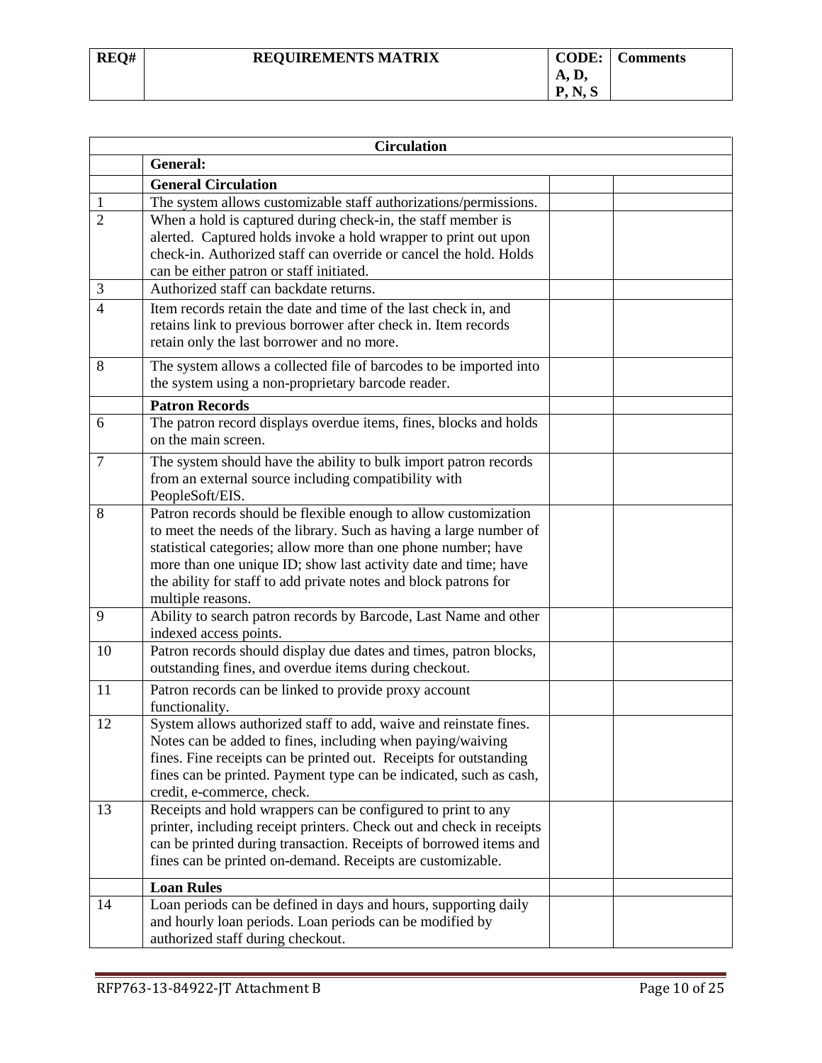| REQ# | <b>REQUIREMENTS MATRIX</b> | <b>CODE:</b> | Comments |
|------|----------------------------|--------------|----------|
|      |                            | A, D,        |          |
|      |                            | P, N, S      |          |

| <b>Circulation</b> |                                                                                                                                      |  |  |
|--------------------|--------------------------------------------------------------------------------------------------------------------------------------|--|--|
|                    | General:                                                                                                                             |  |  |
|                    | <b>General Circulation</b>                                                                                                           |  |  |
|                    | The system allows customizable staff authorizations/permissions.                                                                     |  |  |
| $\overline{2}$     | When a hold is captured during check-in, the staff member is                                                                         |  |  |
|                    | alerted. Captured holds invoke a hold wrapper to print out upon                                                                      |  |  |
|                    | check-in. Authorized staff can override or cancel the hold. Holds                                                                    |  |  |
| 3                  | can be either patron or staff initiated.<br>Authorized staff can backdate returns.                                                   |  |  |
| $\overline{4}$     |                                                                                                                                      |  |  |
|                    | Item records retain the date and time of the last check in, and<br>retains link to previous borrower after check in. Item records    |  |  |
|                    | retain only the last borrower and no more.                                                                                           |  |  |
| 8                  |                                                                                                                                      |  |  |
|                    | The system allows a collected file of barcodes to be imported into<br>the system using a non-proprietary barcode reader.             |  |  |
|                    | <b>Patron Records</b>                                                                                                                |  |  |
| 6                  | The patron record displays overdue items, fines, blocks and holds                                                                    |  |  |
|                    | on the main screen.                                                                                                                  |  |  |
| $\tau$             | The system should have the ability to bulk import patron records                                                                     |  |  |
|                    | from an external source including compatibility with                                                                                 |  |  |
|                    | PeopleSoft/EIS.                                                                                                                      |  |  |
| 8                  | Patron records should be flexible enough to allow customization                                                                      |  |  |
|                    | to meet the needs of the library. Such as having a large number of<br>statistical categories; allow more than one phone number; have |  |  |
|                    | more than one unique ID; show last activity date and time; have                                                                      |  |  |
|                    | the ability for staff to add private notes and block patrons for                                                                     |  |  |
|                    | multiple reasons.                                                                                                                    |  |  |
| 9                  | Ability to search patron records by Barcode, Last Name and other                                                                     |  |  |
|                    | indexed access points.                                                                                                               |  |  |
| 10                 | Patron records should display due dates and times, patron blocks,                                                                    |  |  |
|                    | outstanding fines, and overdue items during checkout.                                                                                |  |  |
| 11                 | Patron records can be linked to provide proxy account                                                                                |  |  |
|                    | functionality.                                                                                                                       |  |  |
| 12                 | System allows authorized staff to add, waive and reinstate fines.<br>Notes can be added to fines, including when paying/waiving      |  |  |
|                    | fines. Fine receipts can be printed out. Receipts for outstanding                                                                    |  |  |
|                    | fines can be printed. Payment type can be indicated, such as cash,                                                                   |  |  |
|                    | credit, e-commerce, check.                                                                                                           |  |  |
| 13                 | Receipts and hold wrappers can be configured to print to any                                                                         |  |  |
|                    | printer, including receipt printers. Check out and check in receipts                                                                 |  |  |
|                    | can be printed during transaction. Receipts of borrowed items and                                                                    |  |  |
|                    | fines can be printed on-demand. Receipts are customizable.                                                                           |  |  |
|                    | <b>Loan Rules</b>                                                                                                                    |  |  |
| 14                 | Loan periods can be defined in days and hours, supporting daily                                                                      |  |  |
|                    | and hourly loan periods. Loan periods can be modified by                                                                             |  |  |
|                    | authorized staff during checkout.                                                                                                    |  |  |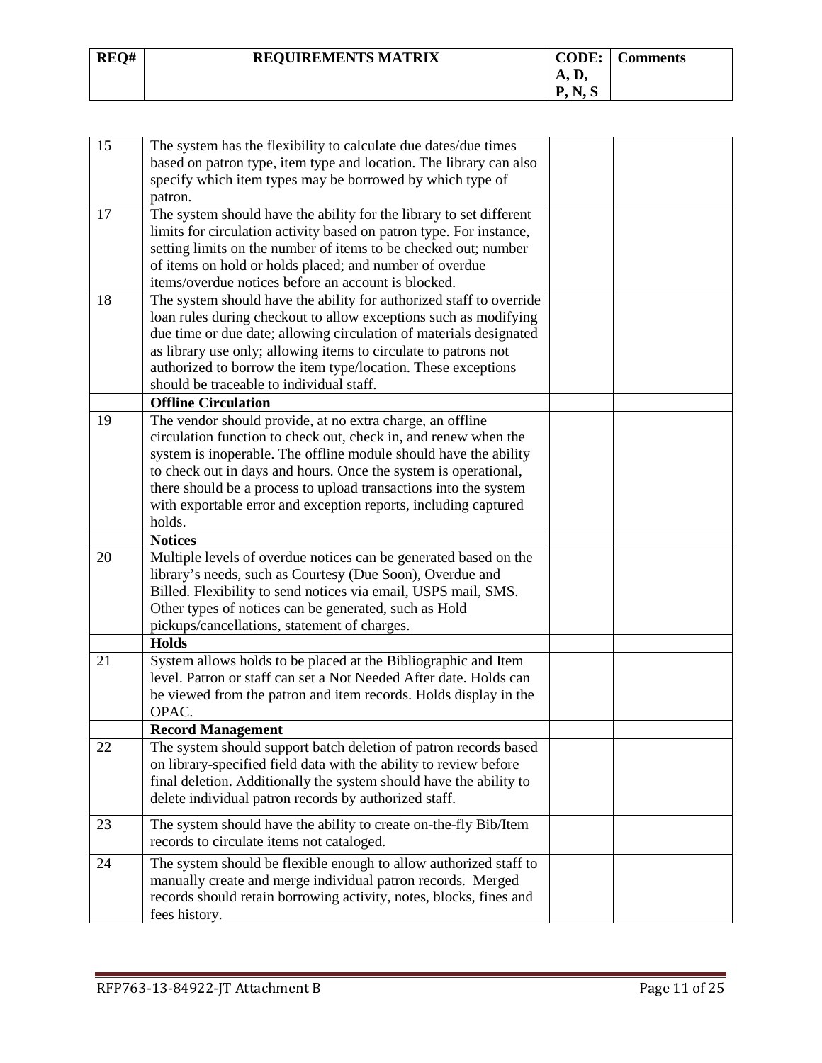| REQ# | <b>REQUIREMENTS MATRIX</b> | <b>CODE:</b> | Comments |
|------|----------------------------|--------------|----------|
|      |                            | <b>A, D,</b> |          |
|      |                            | P, N, S      |          |

| 15     | The system has the flexibility to calculate due dates/due times<br>based on patron type, item type and location. The library can also<br>specify which item types may be borrowed by which type of<br>patron.                                                                                                                                                                                                               |  |
|--------|-----------------------------------------------------------------------------------------------------------------------------------------------------------------------------------------------------------------------------------------------------------------------------------------------------------------------------------------------------------------------------------------------------------------------------|--|
| 17     | The system should have the ability for the library to set different<br>limits for circulation activity based on patron type. For instance,<br>setting limits on the number of items to be checked out; number<br>of items on hold or holds placed; and number of overdue<br>items/overdue notices before an account is blocked.                                                                                             |  |
| 18     | The system should have the ability for authorized staff to override<br>loan rules during checkout to allow exceptions such as modifying<br>due time or due date; allowing circulation of materials designated<br>as library use only; allowing items to circulate to patrons not<br>authorized to borrow the item type/location. These exceptions<br>should be traceable to individual staff.<br><b>Offline Circulation</b> |  |
| 19     | The vendor should provide, at no extra charge, an offline<br>circulation function to check out, check in, and renew when the<br>system is inoperable. The offline module should have the ability<br>to check out in days and hours. Once the system is operational,<br>there should be a process to upload transactions into the system<br>with exportable error and exception reports, including captured<br>holds.        |  |
|        | <b>Notices</b>                                                                                                                                                                                                                                                                                                                                                                                                              |  |
| 20     | Multiple levels of overdue notices can be generated based on the<br>library's needs, such as Courtesy (Due Soon), Overdue and<br>Billed. Flexibility to send notices via email, USPS mail, SMS.<br>Other types of notices can be generated, such as Hold<br>pickups/cancellations, statement of charges.                                                                                                                    |  |
|        | <b>Holds</b>                                                                                                                                                                                                                                                                                                                                                                                                                |  |
| 21     | System allows holds to be placed at the Bibliographic and Item<br>level. Patron or staff can set a Not Needed After date. Holds can<br>be viewed from the patron and item records. Holds display in the<br>OPAC.                                                                                                                                                                                                            |  |
|        | <b>Record Management</b>                                                                                                                                                                                                                                                                                                                                                                                                    |  |
| $22\,$ | The system should support batch deletion of patron records based<br>on library-specified field data with the ability to review before<br>final deletion. Additionally the system should have the ability to<br>delete individual patron records by authorized staff.                                                                                                                                                        |  |
| 23     | The system should have the ability to create on-the-fly Bib/Item<br>records to circulate items not cataloged.                                                                                                                                                                                                                                                                                                               |  |
| 24     | The system should be flexible enough to allow authorized staff to<br>manually create and merge individual patron records. Merged<br>records should retain borrowing activity, notes, blocks, fines and<br>fees history.                                                                                                                                                                                                     |  |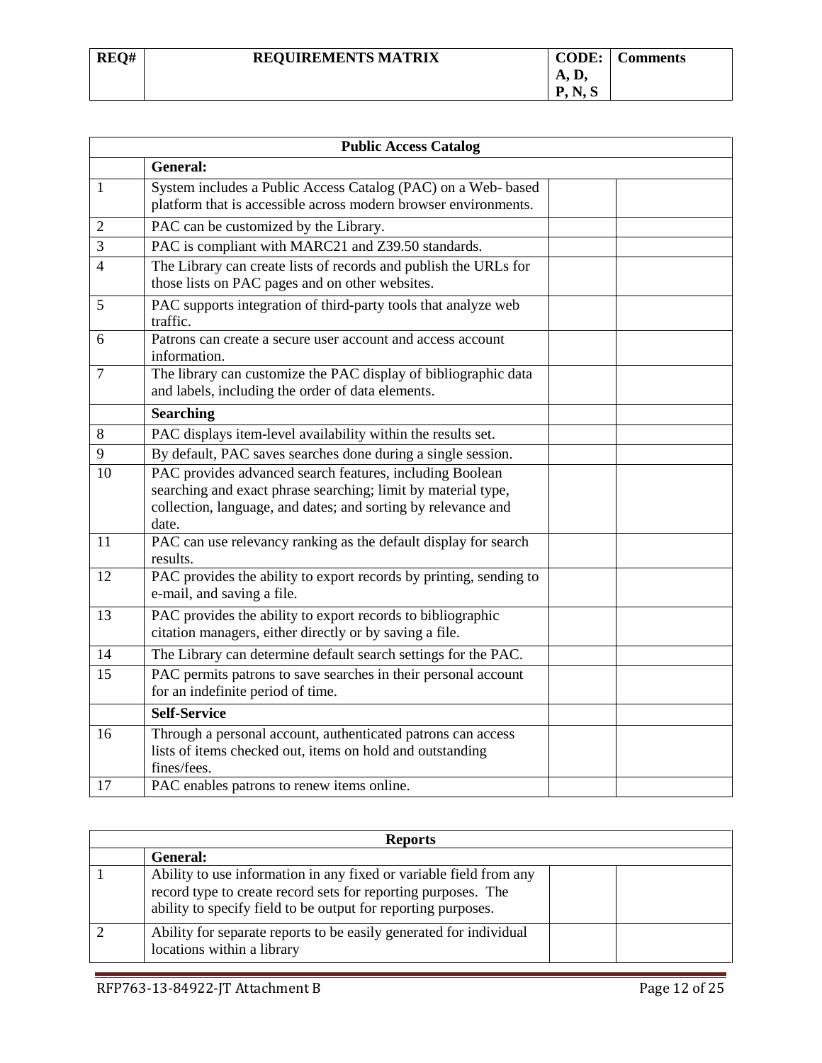| REQ# | <b>REQUIREMENTS MATRIX</b> | <b>CODE:</b> | <b>Comments</b> |
|------|----------------------------|--------------|-----------------|
|      |                            | A, D,        |                 |
|      |                            | P, N, S      |                 |

| <b>Public Access Catalog</b> |                                                                                                                                                                                                     |  |
|------------------------------|-----------------------------------------------------------------------------------------------------------------------------------------------------------------------------------------------------|--|
|                              | <b>General:</b>                                                                                                                                                                                     |  |
| $\mathbf{1}$                 | System includes a Public Access Catalog (PAC) on a Web- based<br>platform that is accessible across modern browser environments.                                                                    |  |
| $\overline{2}$               | PAC can be customized by the Library.                                                                                                                                                               |  |
| 3                            | PAC is compliant with MARC21 and Z39.50 standards.                                                                                                                                                  |  |
| $\overline{4}$               | The Library can create lists of records and publish the URLs for<br>those lists on PAC pages and on other websites.                                                                                 |  |
| 5                            | PAC supports integration of third-party tools that analyze web<br>traffic.                                                                                                                          |  |
| 6                            | Patrons can create a secure user account and access account<br>information.                                                                                                                         |  |
| $\overline{7}$               | The library can customize the PAC display of bibliographic data<br>and labels, including the order of data elements.                                                                                |  |
|                              | <b>Searching</b>                                                                                                                                                                                    |  |
| 8                            | PAC displays item-level availability within the results set.                                                                                                                                        |  |
| 9                            | By default, PAC saves searches done during a single session.                                                                                                                                        |  |
| 10                           | PAC provides advanced search features, including Boolean<br>searching and exact phrase searching; limit by material type,<br>collection, language, and dates; and sorting by relevance and<br>date. |  |
| 11                           | PAC can use relevancy ranking as the default display for search<br>results.                                                                                                                         |  |
| 12                           | PAC provides the ability to export records by printing, sending to<br>e-mail, and saving a file.                                                                                                    |  |
| 13                           | PAC provides the ability to export records to bibliographic<br>citation managers, either directly or by saving a file.                                                                              |  |
| 14                           | The Library can determine default search settings for the PAC.                                                                                                                                      |  |
| 15                           | PAC permits patrons to save searches in their personal account<br>for an indefinite period of time.                                                                                                 |  |
|                              | <b>Self-Service</b>                                                                                                                                                                                 |  |
| 16                           | Through a personal account, authenticated patrons can access<br>lists of items checked out, items on hold and outstanding<br>fines/fees.                                                            |  |
| 17                           | PAC enables patrons to renew items online.                                                                                                                                                          |  |

| <b>Reports</b>                                                                                                                                                                                       |  |  |
|------------------------------------------------------------------------------------------------------------------------------------------------------------------------------------------------------|--|--|
| <b>General:</b>                                                                                                                                                                                      |  |  |
| Ability to use information in any fixed or variable field from any<br>record type to create record sets for reporting purposes. The<br>ability to specify field to be output for reporting purposes. |  |  |
| Ability for separate reports to be easily generated for individual<br>locations within a library                                                                                                     |  |  |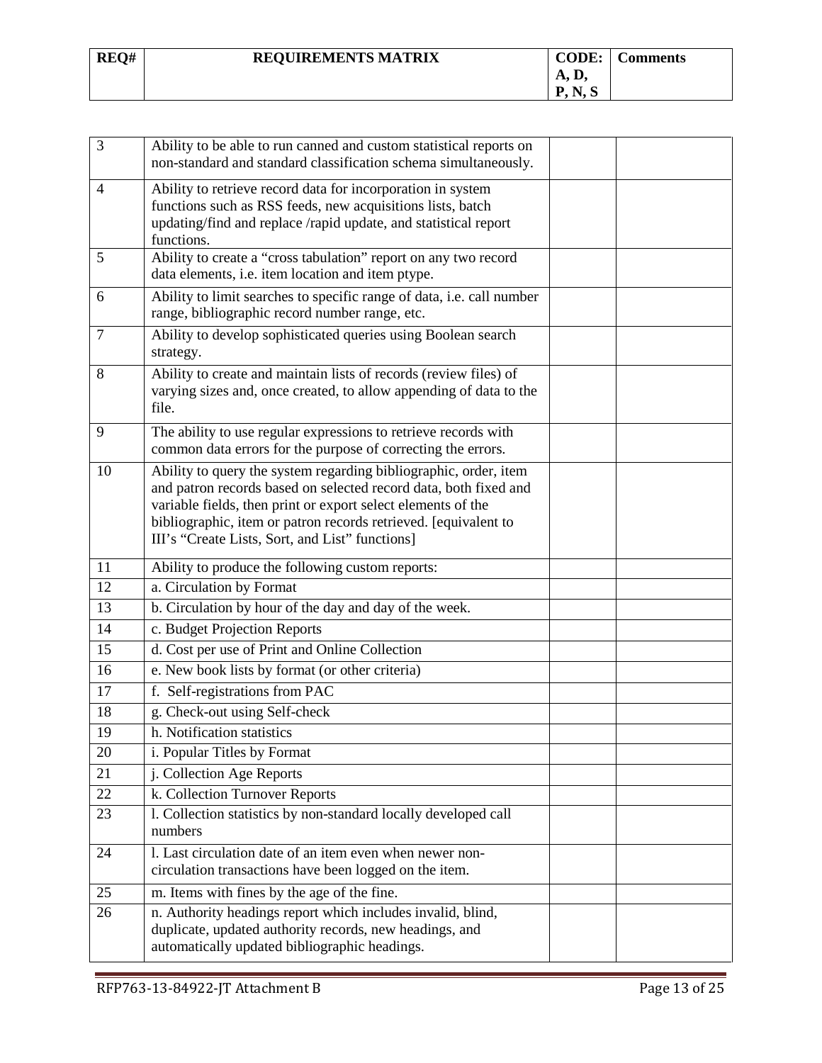| REQ# | <b>REQUIREMENTS MATRIX</b> | <b>CODE:</b> | Comments |
|------|----------------------------|--------------|----------|
|      |                            | <b>A, D.</b> |          |
|      |                            | P, N, S      |          |

| 3      | Ability to be able to run canned and custom statistical reports on<br>non-standard and standard classification schema simultaneously.                                                                                                                                                                                      |  |
|--------|----------------------------------------------------------------------------------------------------------------------------------------------------------------------------------------------------------------------------------------------------------------------------------------------------------------------------|--|
| 4      | Ability to retrieve record data for incorporation in system<br>functions such as RSS feeds, new acquisitions lists, batch<br>updating/find and replace /rapid update, and statistical report<br>functions.                                                                                                                 |  |
| 5      | Ability to create a "cross tabulation" report on any two record<br>data elements, i.e. item location and item ptype.                                                                                                                                                                                                       |  |
| 6      | Ability to limit searches to specific range of data, i.e. call number<br>range, bibliographic record number range, etc.                                                                                                                                                                                                    |  |
| $\tau$ | Ability to develop sophisticated queries using Boolean search<br>strategy.                                                                                                                                                                                                                                                 |  |
| 8      | Ability to create and maintain lists of records (review files) of<br>varying sizes and, once created, to allow appending of data to the<br>file.                                                                                                                                                                           |  |
| 9      | The ability to use regular expressions to retrieve records with<br>common data errors for the purpose of correcting the errors.                                                                                                                                                                                            |  |
| 10     | Ability to query the system regarding bibliographic, order, item<br>and patron records based on selected record data, both fixed and<br>variable fields, then print or export select elements of the<br>bibliographic, item or patron records retrieved. [equivalent to<br>III's "Create Lists, Sort, and List" functions] |  |
| 11     | Ability to produce the following custom reports:                                                                                                                                                                                                                                                                           |  |
| 12     | a. Circulation by Format                                                                                                                                                                                                                                                                                                   |  |
| 13     | b. Circulation by hour of the day and day of the week.                                                                                                                                                                                                                                                                     |  |
| 14     | c. Budget Projection Reports                                                                                                                                                                                                                                                                                               |  |
| 15     | d. Cost per use of Print and Online Collection                                                                                                                                                                                                                                                                             |  |
| 16     | e. New book lists by format (or other criteria)                                                                                                                                                                                                                                                                            |  |
| 17     | f. Self-registrations from PAC                                                                                                                                                                                                                                                                                             |  |
| 18     | g. Check-out using Self-check                                                                                                                                                                                                                                                                                              |  |
| 19     | h. Notification statistics                                                                                                                                                                                                                                                                                                 |  |
| 20     | i. Popular Titles by Format                                                                                                                                                                                                                                                                                                |  |
| 21     | j. Collection Age Reports                                                                                                                                                                                                                                                                                                  |  |
| 22     | k. Collection Turnover Reports                                                                                                                                                                                                                                                                                             |  |
| 23     | I. Collection statistics by non-standard locally developed call<br>numbers                                                                                                                                                                                                                                                 |  |
| 24     | 1. Last circulation date of an item even when newer non-<br>circulation transactions have been logged on the item.                                                                                                                                                                                                         |  |
| 25     | m. Items with fines by the age of the fine.                                                                                                                                                                                                                                                                                |  |
| 26     | n. Authority headings report which includes invalid, blind,<br>duplicate, updated authority records, new headings, and<br>automatically updated bibliographic headings.                                                                                                                                                    |  |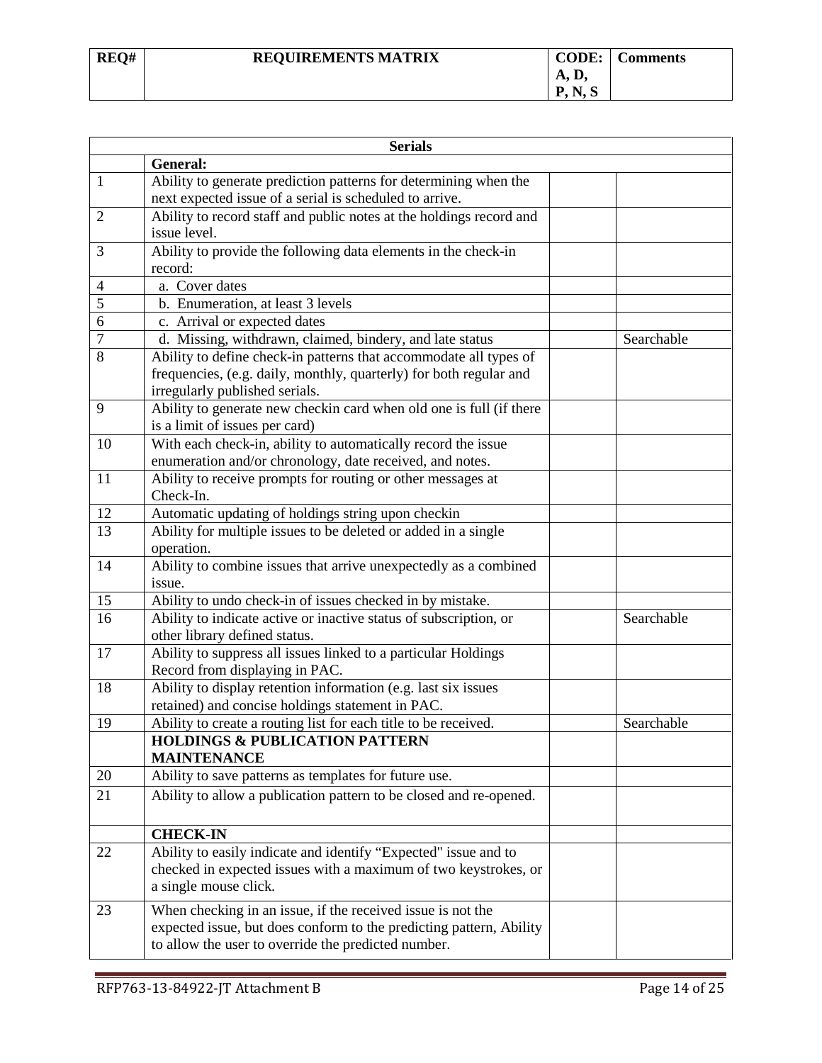| REQ# | <b>REQUIREMENTS MATRIX</b> | <b>CODE:</b>     | Comments |
|------|----------------------------|------------------|----------|
|      |                            | <b>A</b> ,<br>υ. |          |
|      |                            | P, N, S          |          |

|                | <b>Serials</b>                                                      |            |
|----------------|---------------------------------------------------------------------|------------|
|                | <b>General:</b>                                                     |            |
| $\mathbf{1}$   | Ability to generate prediction patterns for determining when the    |            |
|                | next expected issue of a serial is scheduled to arrive.             |            |
| $\overline{2}$ | Ability to record staff and public notes at the holdings record and |            |
|                | issue level.                                                        |            |
| 3              | Ability to provide the following data elements in the check-in      |            |
|                | record:                                                             |            |
| $\overline{4}$ | a. Cover dates                                                      |            |
| $\overline{5}$ | b. Enumeration, at least 3 levels                                   |            |
| 6              | c. Arrival or expected dates                                        |            |
| 7              | d. Missing, withdrawn, claimed, bindery, and late status            | Searchable |
| 8              | Ability to define check-in patterns that accommodate all types of   |            |
|                | frequencies, (e.g. daily, monthly, quarterly) for both regular and  |            |
|                | irregularly published serials.                                      |            |
| 9              | Ability to generate new checkin card when old one is full (if there |            |
|                | is a limit of issues per card)                                      |            |
| 10             | With each check-in, ability to automatically record the issue       |            |
|                | enumeration and/or chronology, date received, and notes.            |            |
| 11             | Ability to receive prompts for routing or other messages at         |            |
|                | Check-In.                                                           |            |
| 12             | Automatic updating of holdings string upon checkin                  |            |
| 13             | Ability for multiple issues to be deleted or added in a single      |            |
|                | operation.                                                          |            |
| 14             | Ability to combine issues that arrive unexpectedly as a combined    |            |
|                | issue.                                                              |            |
| 15             | Ability to undo check-in of issues checked in by mistake.           |            |
| 16             | Ability to indicate active or inactive status of subscription, or   | Searchable |
|                | other library defined status.                                       |            |
| 17             | Ability to suppress all issues linked to a particular Holdings      |            |
|                | Record from displaying in PAC.                                      |            |
| 18             | Ability to display retention information (e.g. last six issues      |            |
|                | retained) and concise holdings statement in PAC.                    |            |
| 19             | Ability to create a routing list for each title to be received.     | Searchable |
|                | <b>HOLDINGS &amp; PUBLICATION PATTERN</b>                           |            |
|                | <b>MAINTENANCE</b>                                                  |            |
| 20             | Ability to save patterns as templates for future use.               |            |
| 21             | Ability to allow a publication pattern to be closed and re-opened.  |            |
|                |                                                                     |            |
|                | <b>CHECK-IN</b>                                                     |            |
| 22             | Ability to easily indicate and identify "Expected" issue and to     |            |
|                | checked in expected issues with a maximum of two keystrokes, or     |            |
|                | a single mouse click.                                               |            |
| 23             | When checking in an issue, if the received issue is not the         |            |
|                | expected issue, but does conform to the predicting pattern, Ability |            |
|                | to allow the user to override the predicted number.                 |            |
|                |                                                                     |            |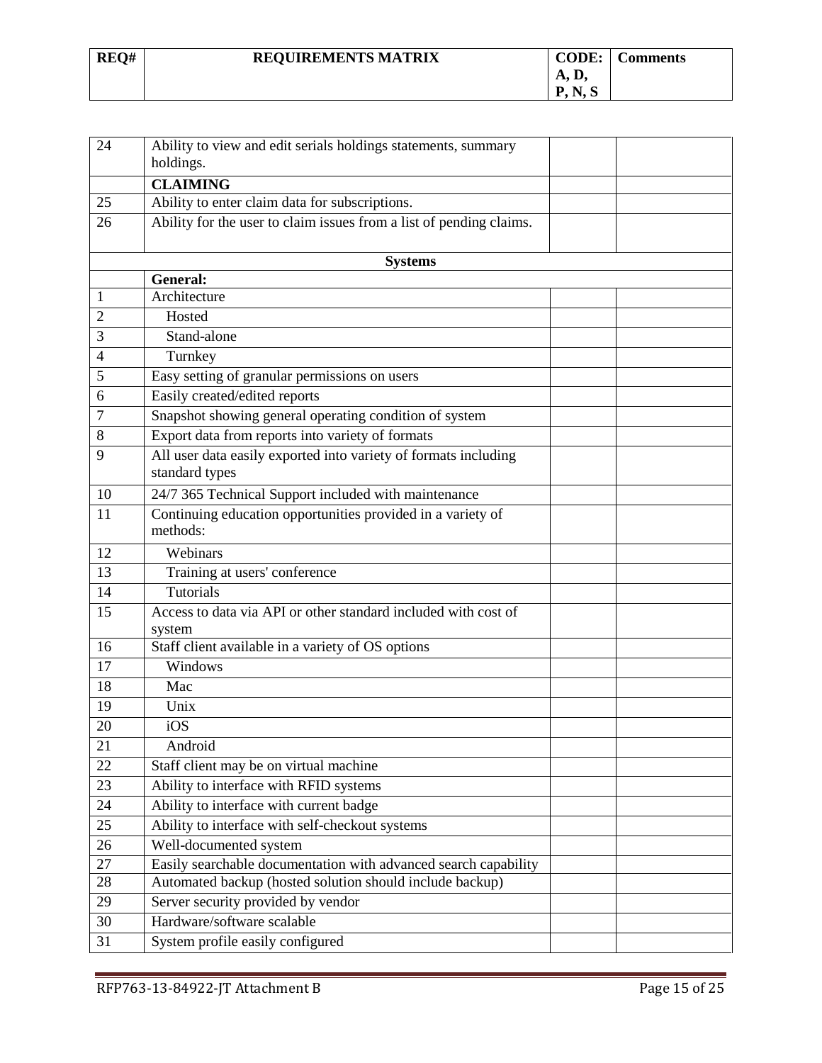| REQ# | <b>REQUIREMENTS MATRIX</b> | <b>CODE:</b> | Comments |
|------|----------------------------|--------------|----------|
|      |                            | A, D,        |          |
|      |                            | P, N, S      |          |

| 24 | Ability to view and edit serials holdings statements, summary<br>holdings.        |  |  |
|----|-----------------------------------------------------------------------------------|--|--|
|    | <b>CLAIMING</b>                                                                   |  |  |
| 25 | Ability to enter claim data for subscriptions.                                    |  |  |
| 26 | Ability for the user to claim issues from a list of pending claims.               |  |  |
|    | <b>Systems</b>                                                                    |  |  |
|    | General:                                                                          |  |  |
| 1  | Architecture                                                                      |  |  |
| 2  | Hosted                                                                            |  |  |
| 3  | Stand-alone                                                                       |  |  |
| 4  | Turnkey                                                                           |  |  |
| 5  | Easy setting of granular permissions on users                                     |  |  |
| 6  | Easily created/edited reports                                                     |  |  |
| 7  | Snapshot showing general operating condition of system                            |  |  |
| 8  | Export data from reports into variety of formats                                  |  |  |
| 9  | All user data easily exported into variety of formats including<br>standard types |  |  |
| 10 | 24/7 365 Technical Support included with maintenance                              |  |  |
| 11 | Continuing education opportunities provided in a variety of<br>methods:           |  |  |
| 12 | Webinars                                                                          |  |  |
| 13 | Training at users' conference                                                     |  |  |
| 14 | <b>Tutorials</b>                                                                  |  |  |
| 15 | Access to data via API or other standard included with cost of<br>system          |  |  |
| 16 | Staff client available in a variety of OS options                                 |  |  |
| 17 | Windows                                                                           |  |  |
| 18 | Mac                                                                               |  |  |
| 19 | Unix                                                                              |  |  |
| 20 | iOS                                                                               |  |  |
| 21 | Android                                                                           |  |  |
| 22 | Staff client may be on virtual machine                                            |  |  |
| 23 | Ability to interface with RFID systems                                            |  |  |
| 24 | Ability to interface with current badge                                           |  |  |
| 25 | Ability to interface with self-checkout systems                                   |  |  |
| 26 | Well-documented system                                                            |  |  |
| 27 | Easily searchable documentation with advanced search capability                   |  |  |
| 28 | Automated backup (hosted solution should include backup)                          |  |  |
| 29 | Server security provided by vendor                                                |  |  |
| 30 | Hardware/software scalable                                                        |  |  |
| 31 | System profile easily configured                                                  |  |  |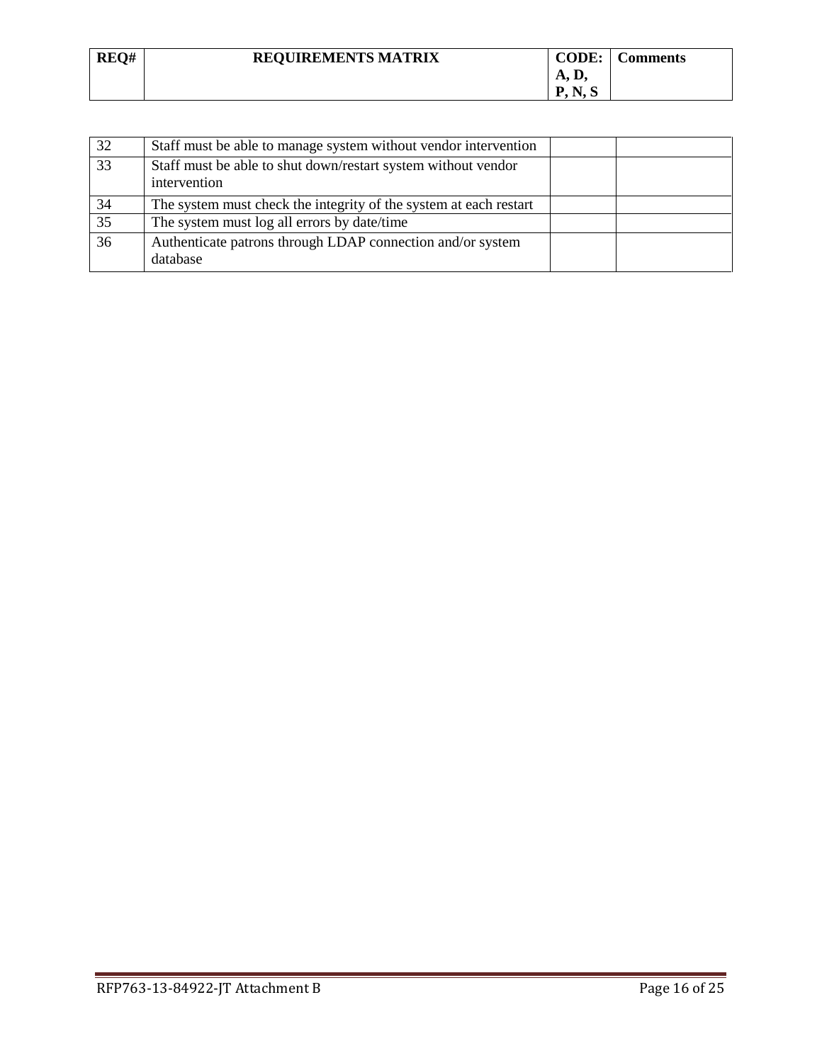| REQ# | <b>REQUIREMENTS MATRIX</b> | <b>CODE:</b> | Comments |
|------|----------------------------|--------------|----------|
|      |                            | A, D,        |          |
|      |                            | P, N, S      |          |

| 32              | Staff must be able to manage system without vendor intervention               |  |
|-----------------|-------------------------------------------------------------------------------|--|
| 33              | Staff must be able to shut down/restart system without vendor<br>intervention |  |
| 34              | The system must check the integrity of the system at each restart             |  |
| $\overline{35}$ | The system must log all errors by date/time                                   |  |
| 36              | Authenticate patrons through LDAP connection and/or system<br>database        |  |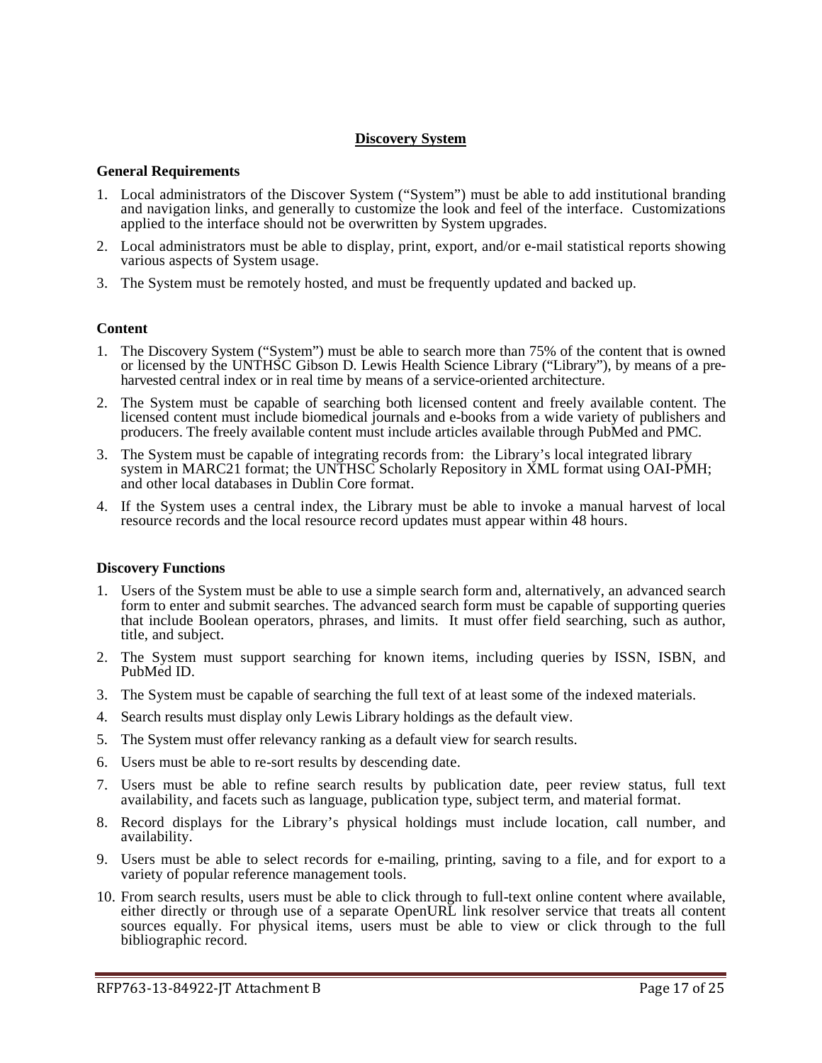#### **Discovery System**

#### **General Requirements**

- 1. Local administrators of the Discover System ("System") must be able to add institutional branding and navigation links, and generally to customize the look and feel of the interface. Customizations applied to the interface should not be overwritten by System upgrades.
- 2. Local administrators must be able to display, print, export, and/or e-mail statistical reports showing various aspects of System usage.
- 3. The System must be remotely hosted, and must be frequently updated and backed up.

#### **Content**

- 1. The Discovery System ("System") must be able to search more than 75% of the content that is owned or licensed by the UNTHSC Gibson D. Lewis Health Science Library ("Library"), by means of a pre- harvested central index or in real time by means of a service-oriented architecture.
- 2. The System must be capable of searching both licensed content and freely available content. The licensed content must include biomedical journals and e-books from a wide variety of publishers and producers. The freely available content must include articles available through PubMed and PMC.
- 3. The System must be capable of integrating records from: the Library's local integrated library system in MARC21 format; the UNTHSC Scholarly Repository in XML format using OAI-PMH; and other local databases in Dublin Core format.
- 4. If the System uses a central index, the Library must be able to invoke a manual harvest of local resource records and the local resource record updates must appear within 48 hours.

#### **Discovery Functions**

- 1. Users of the System must be able to use a simple search form and, alternatively, an advanced search form to enter and submit searches. The advanced search form must be capable of supporting queries that include Boolean operators, phrases, and limits. It must offer field searching, such as author, title, and subject.
- 2. The System must support searching for known items, including queries by ISSN, ISBN, and PubMed ID.
- 3. The System must be capable of searching the full text of at least some of the indexed materials.
- 4. Search results must display only Lewis Library holdings as the default view.
- 5. The System must offer relevancy ranking as a default view for search results.
- 6. Users must be able to re-sort results by descending date.
- 7. Users must be able to refine search results by publication date, peer review status, full text availability, and facets such as language, publication type, subject term, and material format.
- 8. Record displays for the Library's physical holdings must include location, call number, and availability.
- 9. Users must be able to select records for e-mailing, printing, saving to a file, and for export to a variety of popular reference management tools.
- 10. From search results, users must be able to click through to full-text online content where available, either directly or through use of a separate OpenURL link resolver service that treats all content sources equally. For physical items, users must be able to view or click through to the full bibliographic record.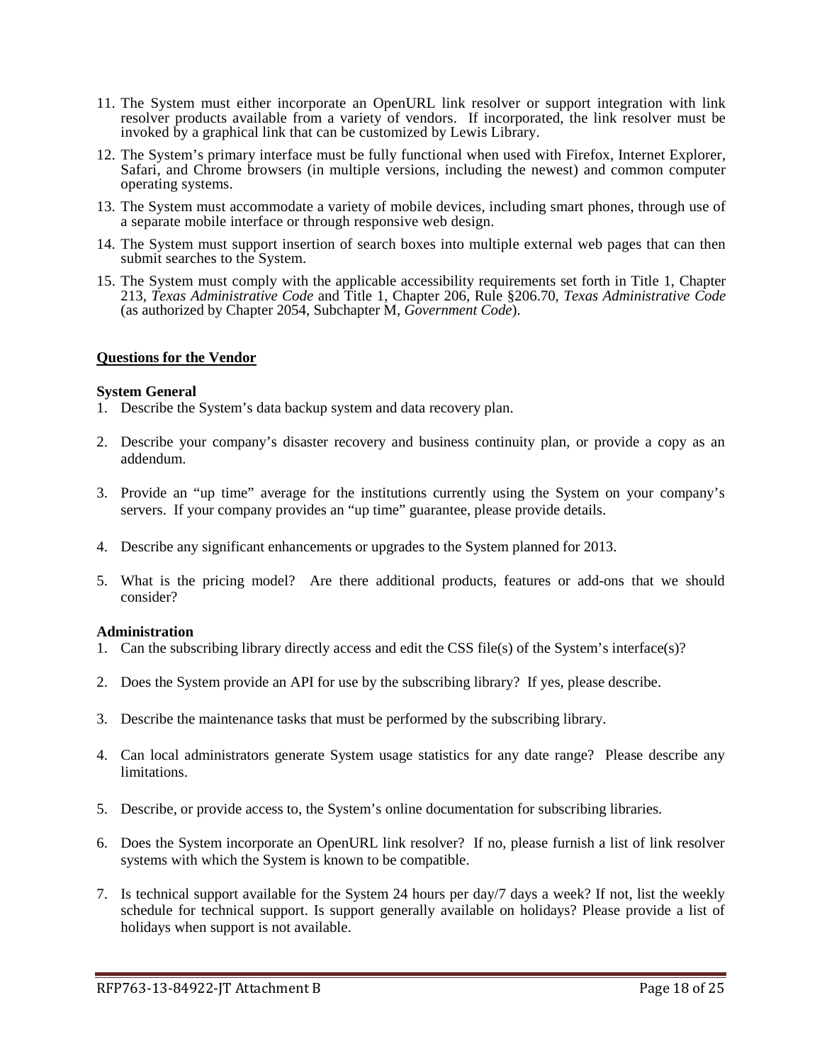- 11. The System must either incorporate an OpenURL link resolver or support integration with link resolver products available from a variety of vendors. If incorporated, the link resolver must be invoked by a graphical link that can be customized by Lewis Library.
- 12. The System's primary interface must be fully functional when used with Firefox, Internet Explorer, Safari, and Chrome browsers (in multiple versions, including the newest) and common computer operating systems.
- 13. The System must accommodate a variety of mobile devices, including smart phones, through use of a separate mobile interface or through responsive web design.
- 14. The System must support insertion of search boxes into multiple external web pages that can then submit searches to the System.
- 15. The System must comply with the applicable accessibility requirements set forth in Title 1, Chapter 213, *Texas Administrative Code* and Title 1, Chapter 206, Rule §206.70, *Texas Administrative Code* (as authorized by Chapter 2054, Subchapter M, *Government Code*).

#### **Questions for the Vendor**

#### **System General**

- 1. Describe the System's data backup system and data recovery plan.
- 2. Describe your company's disaster recovery and business continuity plan, or provide a copy as an addendum.
- 3. Provide an "up time" average for the institutions currently using the System on your company's servers. If your company provides an "up time" guarantee, please provide details.
- 4. Describe any significant enhancements or upgrades to the System planned for 2013.
- 5. What is the pricing model? Are there additional products, features or add-ons that we should consider?

#### **Administration**

- 1. Can the subscribing library directly access and edit the CSS file(s) of the System's interface(s)?
- 2. Does the System provide an API for use by the subscribing library? If yes, please describe.
- 3. Describe the maintenance tasks that must be performed by the subscribing library.
- 4. Can local administrators generate System usage statistics for any date range? Please describe any limitations.
- 5. Describe, or provide access to, the System's online documentation for subscribing libraries.
- 6. Does the System incorporate an OpenURL link resolver? If no, please furnish a list of link resolver systems with which the System is known to be compatible.
- 7. Is technical support available for the System 24 hours per day/7 days a week? If not, list the weekly schedule for technical support. Is support generally available on holidays? Please provide a list of holidays when support is not available.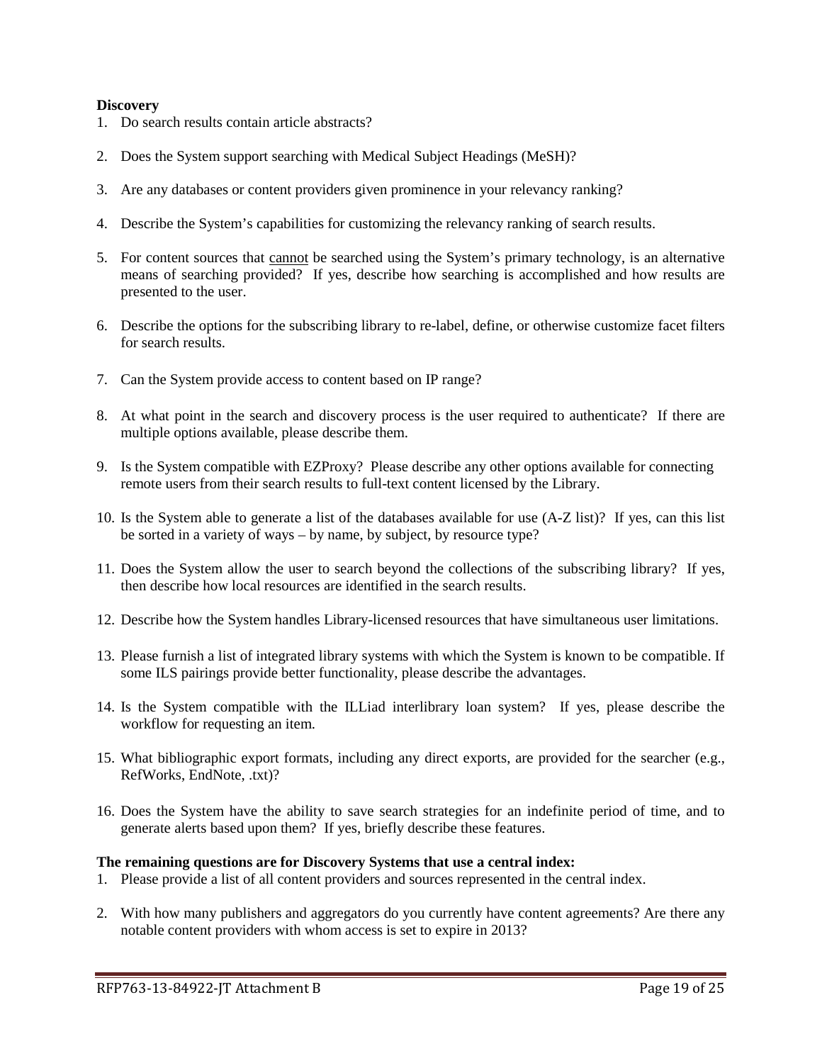#### **Discovery**

- 1. Do search results contain article abstracts?
- 2. Does the System support searching with Medical Subject Headings (MeSH)?
- 3. Are any databases or content providers given prominence in your relevancy ranking?
- 4. Describe the System's capabilities for customizing the relevancy ranking of search results.
- 5. For content sources that cannot be searched using the System's primary technology, is an alternative means of searching provided? If yes, describe how searching is accomplished and how results are presented to the user.
- 6. Describe the options for the subscribing library to re-label, define, or otherwise customize facet filters for search results.
- 7. Can the System provide access to content based on IP range?
- 8. At what point in the search and discovery process is the user required to authenticate? If there are multiple options available, please describe them.
- 9. Is the System compatible with EZProxy? Please describe any other options available for connecting remote users from their search results to full-text content licensed by the Library.
- 10. Is the System able to generate a list of the databases available for use (A-Z list)? If yes, can this list be sorted in a variety of ways – by name, by subject, by resource type?
- 11. Does the System allow the user to search beyond the collections of the subscribing library? If yes, then describe how local resources are identified in the search results.
- 12. Describe how the System handles Library-licensed resources that have simultaneous user limitations.
- 13. Please furnish a list of integrated library systems with which the System is known to be compatible. If some ILS pairings provide better functionality, please describe the advantages.
- 14. Is the System compatible with the ILLiad interlibrary loan system? If yes, please describe the workflow for requesting an item.
- 15. What bibliographic export formats, including any direct exports, are provided for the searcher (e.g., RefWorks, EndNote, .txt)?
- 16. Does the System have the ability to save search strategies for an indefinite period of time, and to generate alerts based upon them? If yes, briefly describe these features.

#### **The remaining questions are for Discovery Systems that use a central index:**

- 1. Please provide a list of all content providers and sources represented in the central index.
- 2. With how many publishers and aggregators do you currently have content agreements? Are there any notable content providers with whom access is set to expire in 2013?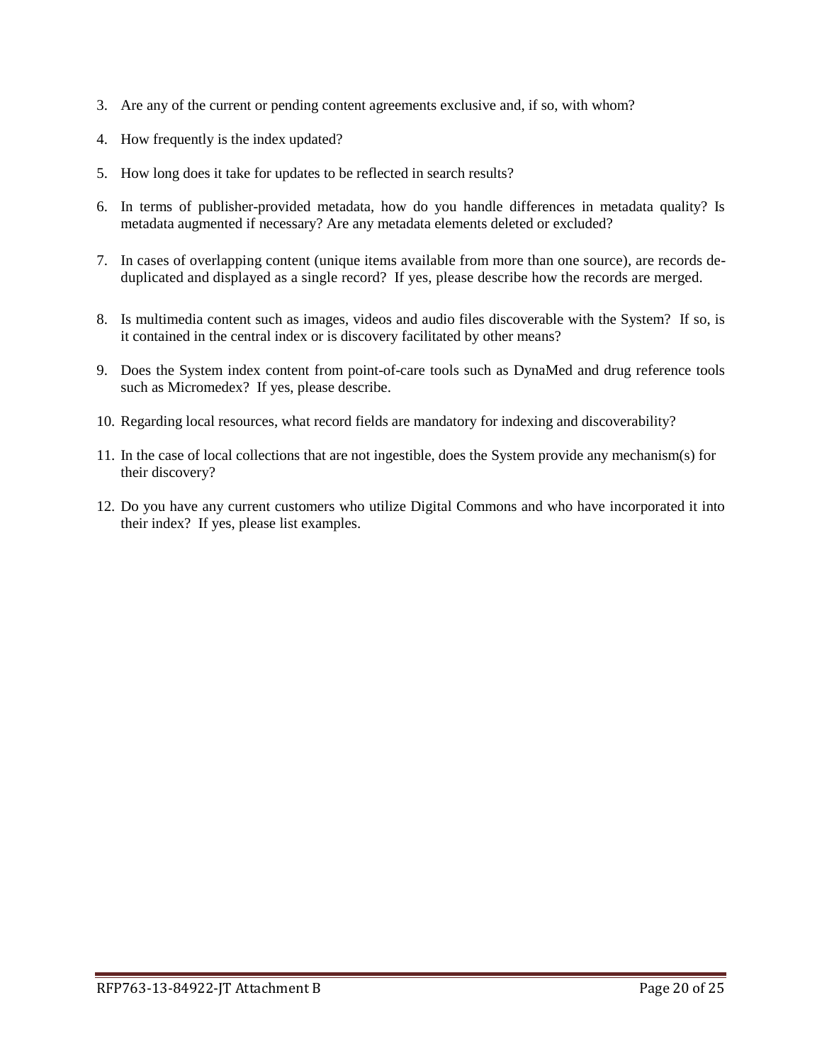- 3. Are any of the current or pending content agreements exclusive and, if so, with whom?
- 4. How frequently is the index updated?
- 5. How long does it take for updates to be reflected in search results?
- 6. In terms of publisher-provided metadata, how do you handle differences in metadata quality? Is metadata augmented if necessary? Are any metadata elements deleted or excluded?
- 7. In cases of overlapping content (unique items available from more than one source), are records deduplicated and displayed as a single record? If yes, please describe how the records are merged.
- 8. Is multimedia content such as images, videos and audio files discoverable with the System? If so, is it contained in the central index or is discovery facilitated by other means?
- 9. Does the System index content from point-of-care tools such as DynaMed and drug reference tools such as Micromedex? If yes, please describe.
- 10. Regarding local resources, what record fields are mandatory for indexing and discoverability?
- 11. In the case of local collections that are not ingestible, does the System provide any mechanism(s) for their discovery?
- 12. Do you have any current customers who utilize Digital Commons and who have incorporated it into their index? If yes, please list examples.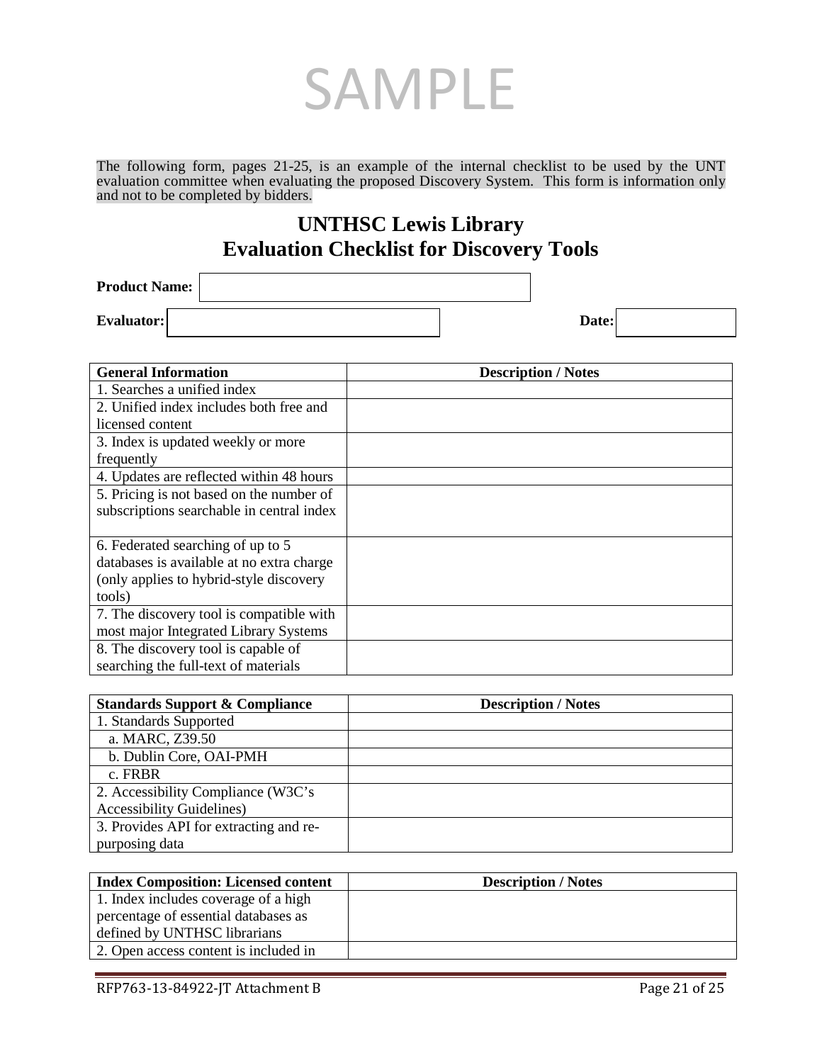The following form, pages 21-25, is an example of the internal checklist to be used by the UNT evaluation committee when evaluating the proposed Discovery System. This form is information only and not to be completed by bidders.

## **UNTHSC Lewis Library Evaluation Checklist for Discovery Tools**

**Product Name:** 

**Evaluator:** Date: **Date: Date: Date: Date: Date: Date: Date: Date: Date: Date: Date: Date: Date: Date: Date: Date: Date: Date: Date: Date: Date: Date: Date: Date: Date: Da** 

| <b>General Information</b>                | <b>Description / Notes</b> |
|-------------------------------------------|----------------------------|
| 1. Searches a unified index               |                            |
| 2. Unified index includes both free and   |                            |
| licensed content                          |                            |
| 3. Index is updated weekly or more        |                            |
| frequently                                |                            |
| 4. Updates are reflected within 48 hours  |                            |
| 5. Pricing is not based on the number of  |                            |
| subscriptions searchable in central index |                            |
|                                           |                            |
| 6. Federated searching of up to 5         |                            |
| databases is available at no extra charge |                            |
| (only applies to hybrid-style discovery   |                            |
| tools)                                    |                            |
| 7. The discovery tool is compatible with  |                            |
| most major Integrated Library Systems     |                            |
| 8. The discovery tool is capable of       |                            |
| searching the full-text of materials      |                            |

| <b>Standards Support &amp; Compliance</b> | <b>Description / Notes</b> |
|-------------------------------------------|----------------------------|
| 1. Standards Supported                    |                            |
| a. MARC, Z39.50                           |                            |
| b. Dublin Core, OAI-PMH                   |                            |
| c. FRBR                                   |                            |
| 2. Accessibility Compliance (W3C's        |                            |
| <b>Accessibility Guidelines</b> )         |                            |
| 3. Provides API for extracting and re-    |                            |
| purposing data                            |                            |

| <b>Index Composition: Licensed content</b> | <b>Description / Notes</b> |
|--------------------------------------------|----------------------------|
| 1. Index includes coverage of a high       |                            |
| percentage of essential databases as       |                            |
| defined by UNTHSC librarians               |                            |
| 2. Open access content is included in      |                            |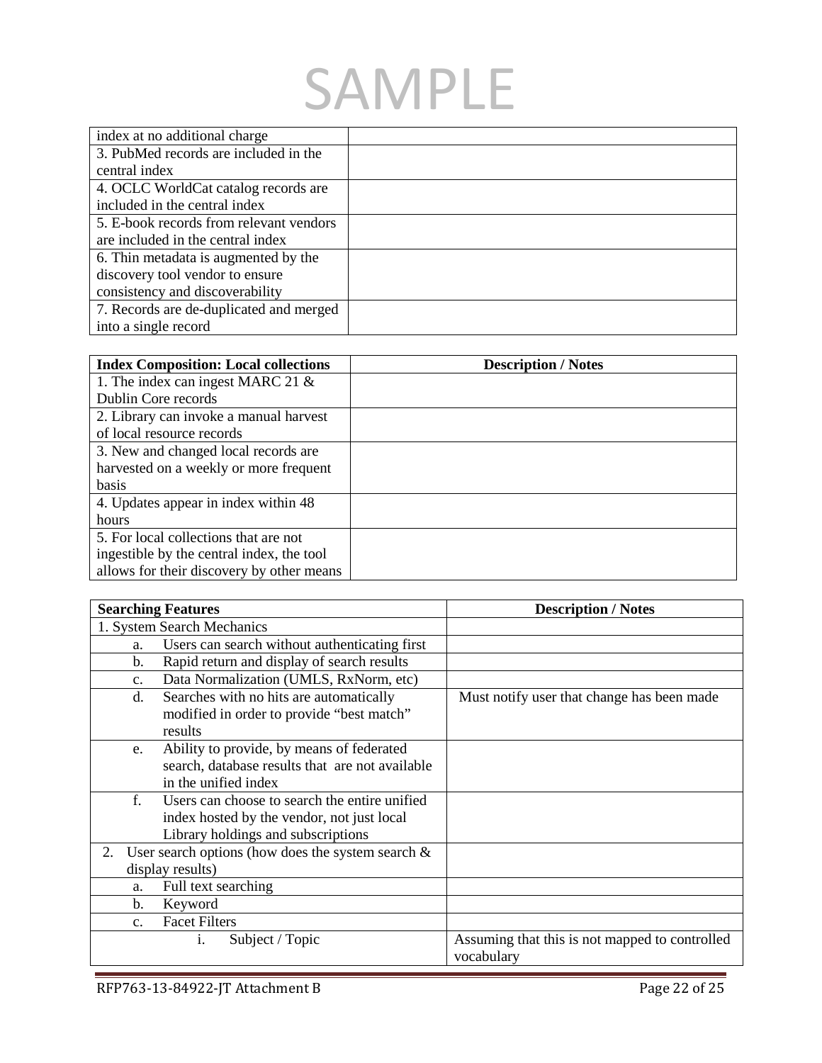| index at no additional charge           |  |
|-----------------------------------------|--|
| 3. PubMed records are included in the   |  |
| central index                           |  |
| 4. OCLC WorldCat catalog records are    |  |
| included in the central index           |  |
| 5. E-book records from relevant vendors |  |
| are included in the central index       |  |
| 6. Thin metadata is augmented by the    |  |
| discovery tool vendor to ensure         |  |
| consistency and discoverability         |  |
| 7. Records are de-duplicated and merged |  |
| into a single record                    |  |

| <b>Index Composition: Local collections</b> | <b>Description / Notes</b> |
|---------------------------------------------|----------------------------|
| 1. The index can ingest MARC 21 $&$         |                            |
| Dublin Core records                         |                            |
| 2. Library can invoke a manual harvest      |                            |
| of local resource records                   |                            |
| 3. New and changed local records are        |                            |
| harvested on a weekly or more frequent      |                            |
| basis                                       |                            |
| 4. Updates appear in index within 48        |                            |
| hours                                       |                            |
| 5. For local collections that are not       |                            |
| ingestible by the central index, the tool   |                            |
| allows for their discovery by other means   |                            |

| <b>Searching Features</b>  |                                                      | <b>Description / Notes</b>                                   |
|----------------------------|------------------------------------------------------|--------------------------------------------------------------|
| 1. System Search Mechanics |                                                      |                                                              |
| a.                         | Users can search without authenticating first        |                                                              |
| b.                         | Rapid return and display of search results           |                                                              |
| $c_{\cdot}$                | Data Normalization (UMLS, RxNorm, etc)               |                                                              |
| d.                         | Searches with no hits are automatically              | Must notify user that change has been made                   |
|                            | modified in order to provide "best match"            |                                                              |
|                            | results                                              |                                                              |
| e.                         | Ability to provide, by means of federated            |                                                              |
|                            | search, database results that are not available      |                                                              |
|                            | in the unified index                                 |                                                              |
| f                          | Users can choose to search the entire unified        |                                                              |
|                            | index hosted by the vendor, not just local           |                                                              |
|                            | Library holdings and subscriptions                   |                                                              |
| 2.                         | User search options (how does the system search $\&$ |                                                              |
|                            | display results)                                     |                                                              |
| a.                         | Full text searching                                  |                                                              |
| b.                         | Keyword                                              |                                                              |
| C <sub>1</sub>             | <b>Facet Filters</b>                                 |                                                              |
|                            | Subject / Topic<br>1.                                | Assuming that this is not mapped to controlled<br>vocabulary |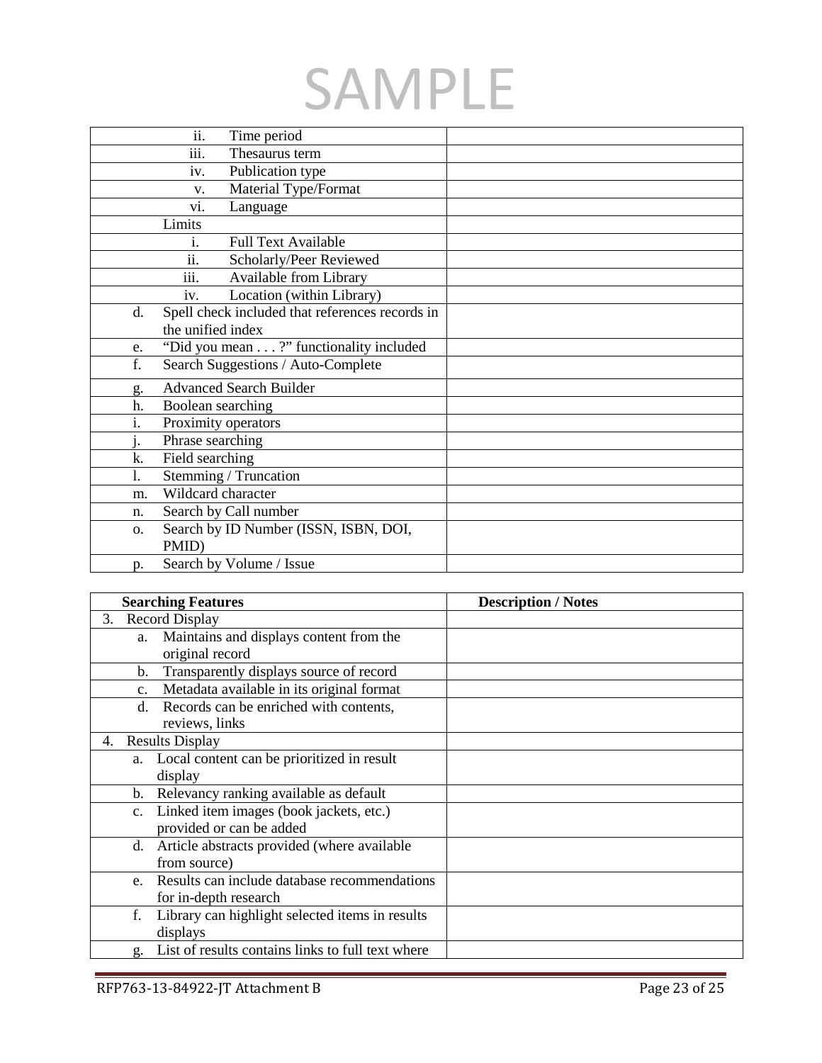|    | ii.<br>Time period                              |  |
|----|-------------------------------------------------|--|
|    | iii.<br>Thesaurus term                          |  |
|    | Publication type<br>iv.                         |  |
|    | Material Type/Format<br>V.                      |  |
|    | Language<br>vi.                                 |  |
|    | Limits                                          |  |
|    | <b>Full Text Available</b><br>i.                |  |
|    | ii.<br>Scholarly/Peer Reviewed                  |  |
|    | iii.<br>Available from Library                  |  |
|    | Location (within Library)<br>iv.                |  |
| d. | Spell check included that references records in |  |
|    | the unified index                               |  |
| e. | "Did you mean ?" functionality included         |  |
| f. | Search Suggestions / Auto-Complete              |  |
| g. | <b>Advanced Search Builder</b>                  |  |
| h. | Boolean searching                               |  |
| i. | Proximity operators                             |  |
|    | Phrase searching                                |  |
| k. | Field searching                                 |  |
| 1. | Stemming / Truncation                           |  |
| m. | Wildcard character                              |  |
| n. | Search by Call number                           |  |
| 0. | Search by ID Number (ISSN, ISBN, DOI,           |  |
|    | PMID)                                           |  |
| p. | Search by Volume / Issue                        |  |

| <b>Searching Features</b>                                   | <b>Description / Notes</b> |
|-------------------------------------------------------------|----------------------------|
| <b>Record Display</b><br>3.                                 |                            |
| Maintains and displays content from the<br>a.               |                            |
| original record                                             |                            |
| Transparently displays source of record<br>b.               |                            |
| Metadata available in its original format<br>$\mathbf{c}$ . |                            |
| Records can be enriched with contents,<br>d.                |                            |
| reviews, links                                              |                            |
| <b>Results Display</b><br>4.                                |                            |
| a. Local content can be prioritized in result               |                            |
| display                                                     |                            |
| b. Relevancy ranking available as default                   |                            |
| Linked item images (book jackets, etc.)<br>c.               |                            |
| provided or can be added                                    |                            |
| d. Article abstracts provided (where available              |                            |
| from source)                                                |                            |
| Results can include database recommendations<br>e.          |                            |
| for in-depth research                                       |                            |
| Library can highlight selected items in results<br>f.       |                            |
| displays                                                    |                            |
| List of results contains links to full text where<br>g.     |                            |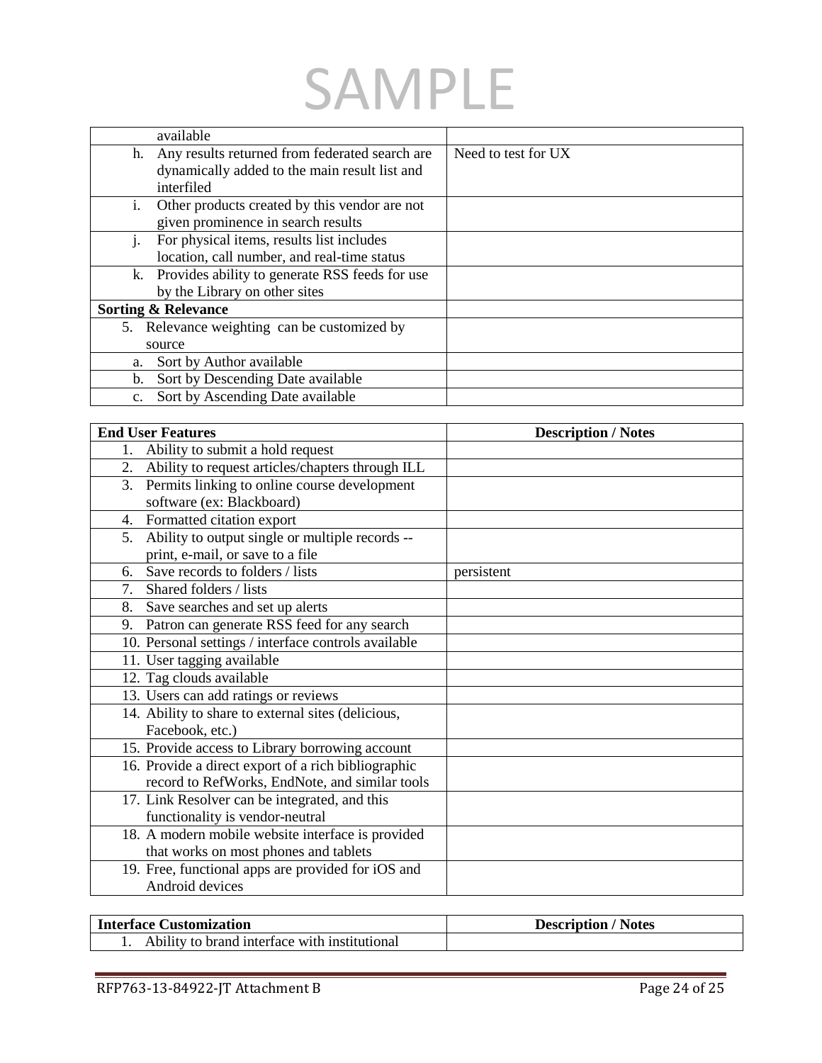|               | available                                         |                     |
|---------------|---------------------------------------------------|---------------------|
|               | h. Any results returned from federated search are | Need to test for UX |
|               | dynamically added to the main result list and     |                     |
|               | interfiled                                        |                     |
|               | i. Other products created by this vendor are not  |                     |
|               | given prominence in search results                |                     |
| j.            | For physical items, results list includes         |                     |
|               | location, call number, and real-time status       |                     |
|               | k. Provides ability to generate RSS feeds for use |                     |
|               | by the Library on other sites                     |                     |
|               | <b>Sorting &amp; Relevance</b>                    |                     |
|               | 5. Relevance weighting can be customized by       |                     |
|               | source                                            |                     |
| a.            | Sort by Author available                          |                     |
| b.            | Sort by Descending Date available                 |                     |
| $C_{\bullet}$ | Sort by Ascending Date available                  |                     |

| <b>End User Features</b>                              | <b>Description / Notes</b> |
|-------------------------------------------------------|----------------------------|
| Ability to submit a hold request<br>1.                |                            |
| 2. Ability to request articles/chapters through ILL   |                            |
| Permits linking to online course development<br>3.    |                            |
| software (ex: Blackboard)                             |                            |
| 4. Formatted citation export                          |                            |
| Ability to output single or multiple records --<br>5. |                            |
| print, e-mail, or save to a file                      |                            |
| Save records to folders / lists<br>6.                 | persistent                 |
| 7.<br>Shared folders / lists                          |                            |
| 8. Save searches and set up alerts                    |                            |
| 9. Patron can generate RSS feed for any search        |                            |
| 10. Personal settings / interface controls available  |                            |
| 11. User tagging available                            |                            |
| 12. Tag clouds available                              |                            |
| 13. Users can add ratings or reviews                  |                            |
| 14. Ability to share to external sites (delicious,    |                            |
| Facebook, etc.)                                       |                            |
| 15. Provide access to Library borrowing account       |                            |
| 16. Provide a direct export of a rich bibliographic   |                            |
| record to RefWorks, EndNote, and similar tools        |                            |
| 17. Link Resolver can be integrated, and this         |                            |
| functionality is vendor-neutral                       |                            |
| 18. A modern mobile website interface is provided     |                            |
| that works on most phones and tablets                 |                            |
| 19. Free, functional apps are provided for iOS and    |                            |
| Android devices                                       |                            |

| Interface Customization                       | <b>Description / Notes</b> |  |
|-----------------------------------------------|----------------------------|--|
| Ability to brand interface with institutional |                            |  |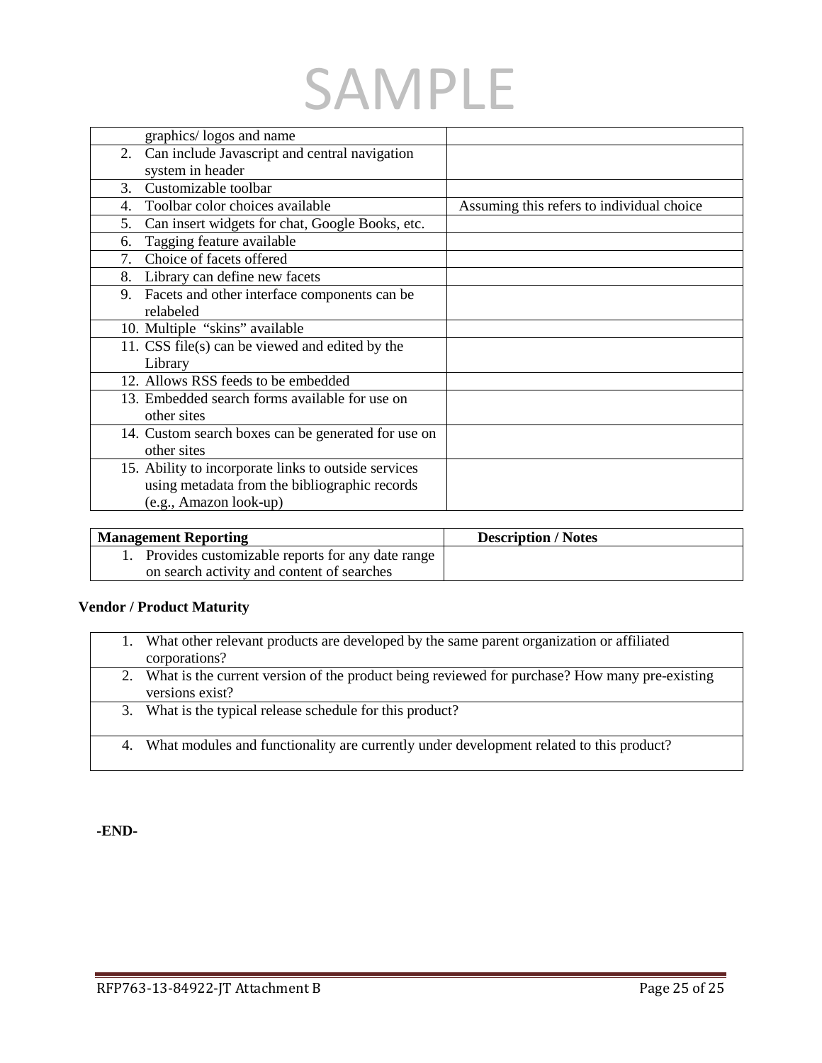| graphics/logos and name                                               |                                           |
|-----------------------------------------------------------------------|-------------------------------------------|
| Can include Javascript and central navigation<br>2.                   |                                           |
| system in header                                                      |                                           |
| Customizable toolbar<br>3.                                            |                                           |
| Toolbar color choices available<br>4.                                 | Assuming this refers to individual choice |
| Can insert widgets for chat, Google Books, etc.<br>5.                 |                                           |
| Tagging feature available<br>6.                                       |                                           |
| Choice of facets offered<br>$7_{\scriptscriptstyle{\ddot{\text{c}}}}$ |                                           |
| Library can define new facets<br>8.                                   |                                           |
| Facets and other interface components can be<br>9.                    |                                           |
| relabeled                                                             |                                           |
| 10. Multiple "skins" available                                        |                                           |
| 11. CSS file(s) can be viewed and edited by the                       |                                           |
| Library                                                               |                                           |
| 12. Allows RSS feeds to be embedded                                   |                                           |
| 13. Embedded search forms available for use on                        |                                           |
| other sites                                                           |                                           |
| 14. Custom search boxes can be generated for use on                   |                                           |
| other sites                                                           |                                           |
| 15. Ability to incorporate links to outside services                  |                                           |
| using metadata from the bibliographic records                         |                                           |
| (e.g., Amazon look-up)                                                |                                           |

| <b>Management Reporting</b> |                                                     | <b>Description / Notes</b> |
|-----------------------------|-----------------------------------------------------|----------------------------|
|                             | 1. Provides customizable reports for any date range |                            |
|                             | on search activity and content of searches          |                            |

### **Vendor / Product Maturity**

| What other relevant products are developed by the same parent organization or affiliated                            |
|---------------------------------------------------------------------------------------------------------------------|
| corporations?                                                                                                       |
| 2. What is the current version of the product being reviewed for purchase? How many pre-existing<br>versions exist? |
| 3. What is the typical release schedule for this product?                                                           |
| 4. What modules and functionality are currently under development related to this product?                          |

**-END-**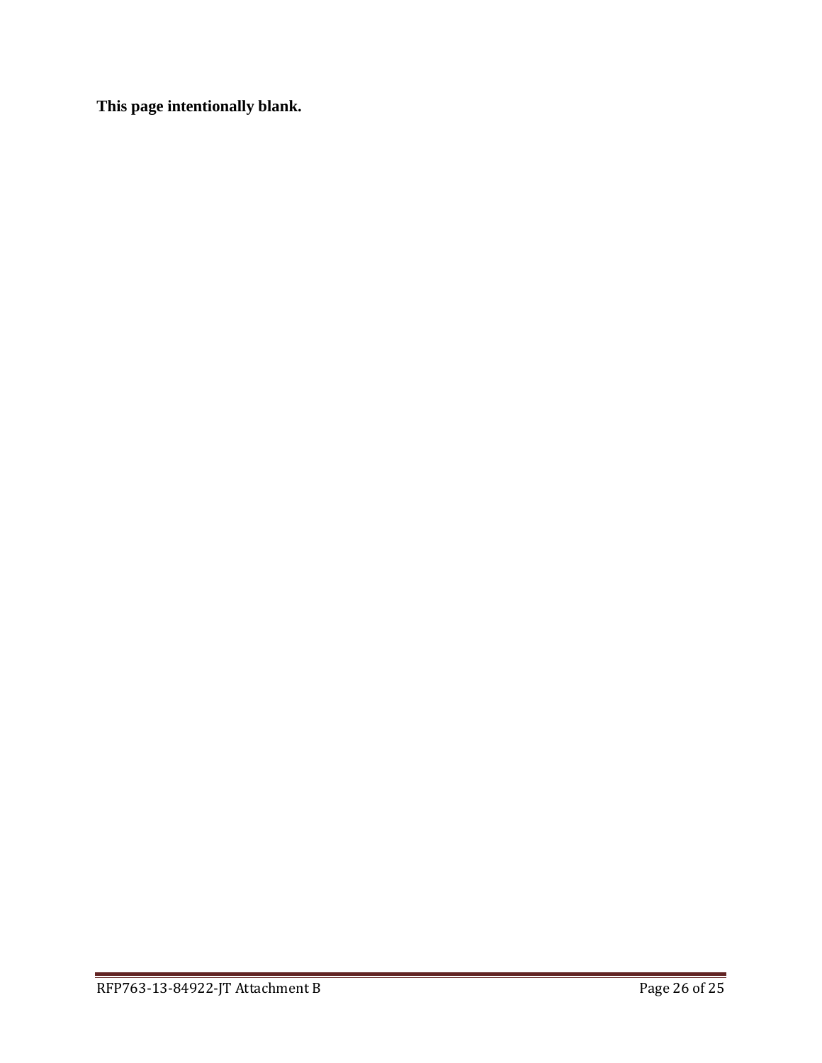**This page intentionally blank.**